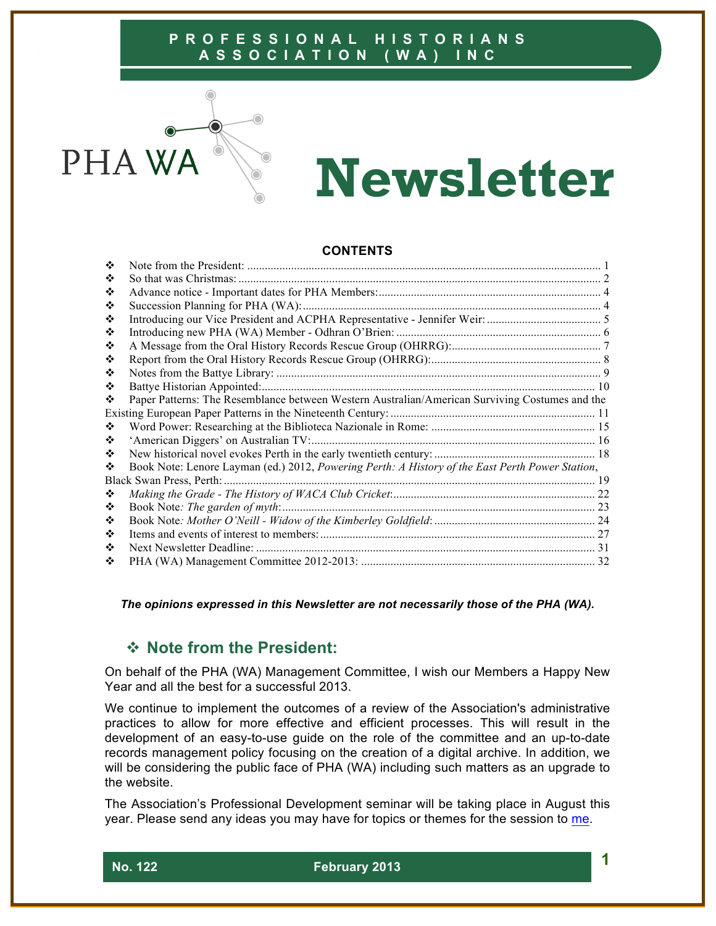

# **Newsletter**

#### **CONTENTS**

| ❖ |                                                                                                 |  |
|---|-------------------------------------------------------------------------------------------------|--|
| ❖ | So that was Christmas:                                                                          |  |
| ❖ |                                                                                                 |  |
| ❖ |                                                                                                 |  |
| ❖ |                                                                                                 |  |
| ❖ |                                                                                                 |  |
| ❖ |                                                                                                 |  |
| ❖ |                                                                                                 |  |
| ❖ |                                                                                                 |  |
| ❖ |                                                                                                 |  |
| ❖ | Paper Patterns: The Resemblance between Western Australian/American Surviving Costumes and the  |  |
|   |                                                                                                 |  |
| ❖ |                                                                                                 |  |
| ❖ |                                                                                                 |  |
| ❖ |                                                                                                 |  |
| ❖ | Book Note: Lenore Layman (ed.) 2012, Powering Perth: A History of the East Perth Power Station, |  |
|   | Black Swan Press, Perth:                                                                        |  |
| ❖ |                                                                                                 |  |
| ❖ |                                                                                                 |  |
| ❖ |                                                                                                 |  |
| ❖ |                                                                                                 |  |
| ❖ |                                                                                                 |  |
| ❖ |                                                                                                 |  |

*The opinions expressed in this Newsletter are not necessarily those of the PHA (WA).*

# ! **Note from the President:**

On behalf of the PHA (WA) Management Committee, I wish our Members a Happy New Year and all the best for a successful 2013.

We continue to implement the outcomes of a review of the Association's administrative practices to allow for more effective and efficient processes. This will result in the development of an easy-to-use guide on the role of the committee and an up-to-date records management policy focusing on the creation of a digital archive. In addition, we will be considering the public face of PHA (WA) including such matters as an upgrade to the website.

The Association's Professional Development seminar will be taking place in August this year. Please send any ideas you may have for topics or themes for the session to me.

 **No. 122 February 2013 1**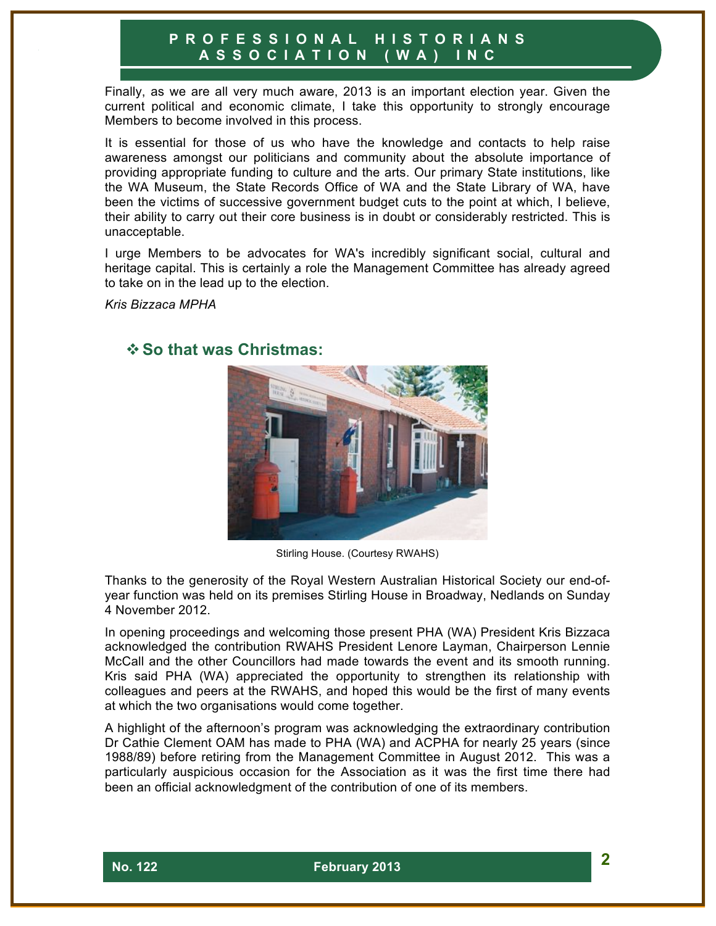Finally, as we are all very much aware, 2013 is an important election year. Given the current political and economic climate, I take this opportunity to strongly encourage Members to become involved in this process.

It is essential for those of us who have the knowledge and contacts to help raise awareness amongst our politicians and community about the absolute importance of providing appropriate funding to culture and the arts. Our primary State institutions, like the WA Museum, the State Records Office of WA and the State Library of WA, have been the victims of successive government budget cuts to the point at which, I believe, their ability to carry out their core business is in doubt or considerably restricted. This is unacceptable.

I urge Members to be advocates for WA's incredibly significant social, cultural and heritage capital. This is certainly a role the Management Committee has already agreed to take on in the lead up to the election.

*Kris Bizzaca MPHA*



# !**So that was Christmas:**

Stirling House. (Courtesy RWAHS)

Thanks to the generosity of the Royal Western Australian Historical Society our end-ofyear function was held on its premises Stirling House in Broadway, Nedlands on Sunday 4 November 2012.

In opening proceedings and welcoming those present PHA (WA) President Kris Bizzaca acknowledged the contribution RWAHS President Lenore Layman, Chairperson Lennie McCall and the other Councillors had made towards the event and its smooth running. Kris said PHA (WA) appreciated the opportunity to strengthen its relationship with colleagues and peers at the RWAHS, and hoped this would be the first of many events at which the two organisations would come together.

A highlight of the afternoon's program was acknowledging the extraordinary contribution Dr Cathie Clement OAM has made to PHA (WA) and ACPHA for nearly 25 years (since 1988/89) before retiring from the Management Committee in August 2012. This was a particularly auspicious occasion for the Association as it was the first time there had been an official acknowledgment of the contribution of one of its members.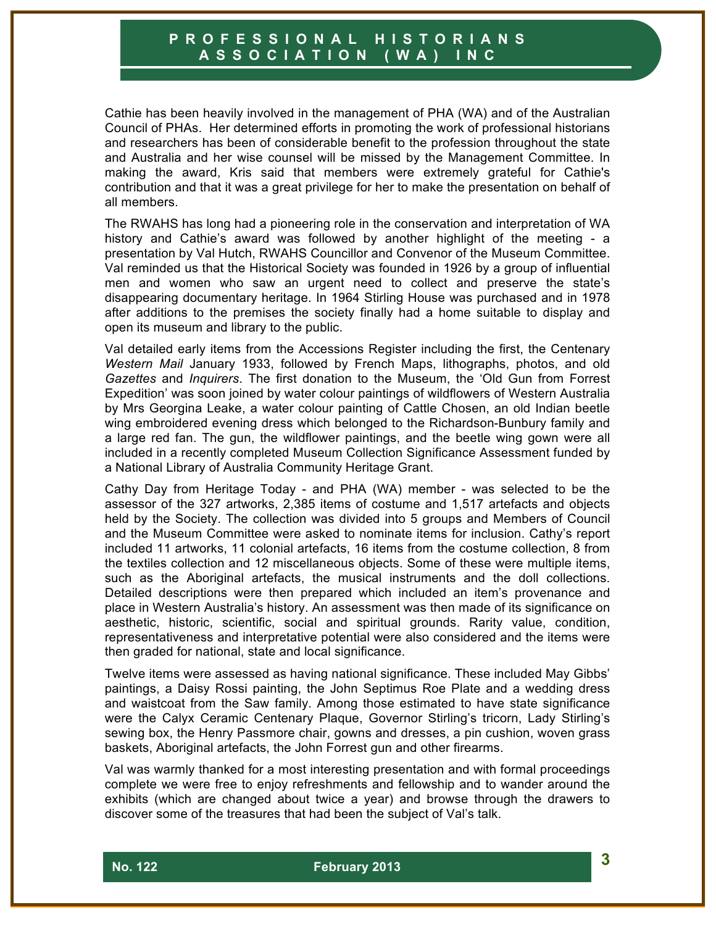Cathie has been heavily involved in the management of PHA (WA) and of the Australian Council of PHAs. Her determined efforts in promoting the work of professional historians and researchers has been of considerable benefit to the profession throughout the state and Australia and her wise counsel will be missed by the Management Committee. In making the award, Kris said that members were extremely grateful for Cathie's contribution and that it was a great privilege for her to make the presentation on behalf of all members.

The RWAHS has long had a pioneering role in the conservation and interpretation of WA history and Cathie's award was followed by another highlight of the meeting - a presentation by Val Hutch, RWAHS Councillor and Convenor of the Museum Committee. Val reminded us that the Historical Society was founded in 1926 by a group of influential men and women who saw an urgent need to collect and preserve the state's disappearing documentary heritage. In 1964 Stirling House was purchased and in 1978 after additions to the premises the society finally had a home suitable to display and open its museum and library to the public.

Val detailed early items from the Accessions Register including the first, the Centenary *Western Mail* January 1933, followed by French Maps, lithographs, photos, and old *Gazettes* and *Inquirers*. The first donation to the Museum, the 'Old Gun from Forrest Expedition' was soon joined by water colour paintings of wildflowers of Western Australia by Mrs Georgina Leake, a water colour painting of Cattle Chosen, an old Indian beetle wing embroidered evening dress which belonged to the Richardson-Bunbury family and a large red fan. The gun, the wildflower paintings, and the beetle wing gown were all included in a recently completed Museum Collection Significance Assessment funded by a National Library of Australia Community Heritage Grant.

Cathy Day from Heritage Today - and PHA (WA) member - was selected to be the assessor of the 327 artworks, 2,385 items of costume and 1,517 artefacts and objects held by the Society. The collection was divided into 5 groups and Members of Council and the Museum Committee were asked to nominate items for inclusion. Cathy's report included 11 artworks, 11 colonial artefacts, 16 items from the costume collection, 8 from the textiles collection and 12 miscellaneous objects. Some of these were multiple items, such as the Aboriginal artefacts, the musical instruments and the doll collections. Detailed descriptions were then prepared which included an item's provenance and place in Western Australia's history. An assessment was then made of its significance on aesthetic, historic, scientific, social and spiritual grounds. Rarity value, condition, representativeness and interpretative potential were also considered and the items were then graded for national, state and local significance.

Twelve items were assessed as having national significance. These included May Gibbs' paintings, a Daisy Rossi painting, the John Septimus Roe Plate and a wedding dress and waistcoat from the Saw family. Among those estimated to have state significance were the Calyx Ceramic Centenary Plaque, Governor Stirling's tricorn, Lady Stirling's sewing box, the Henry Passmore chair, gowns and dresses, a pin cushion, woven grass baskets, Aboriginal artefacts, the John Forrest gun and other firearms.

Val was warmly thanked for a most interesting presentation and with formal proceedings complete we were free to enjoy refreshments and fellowship and to wander around the exhibits (which are changed about twice a year) and browse through the drawers to discover some of the treasures that had been the subject of Val's talk.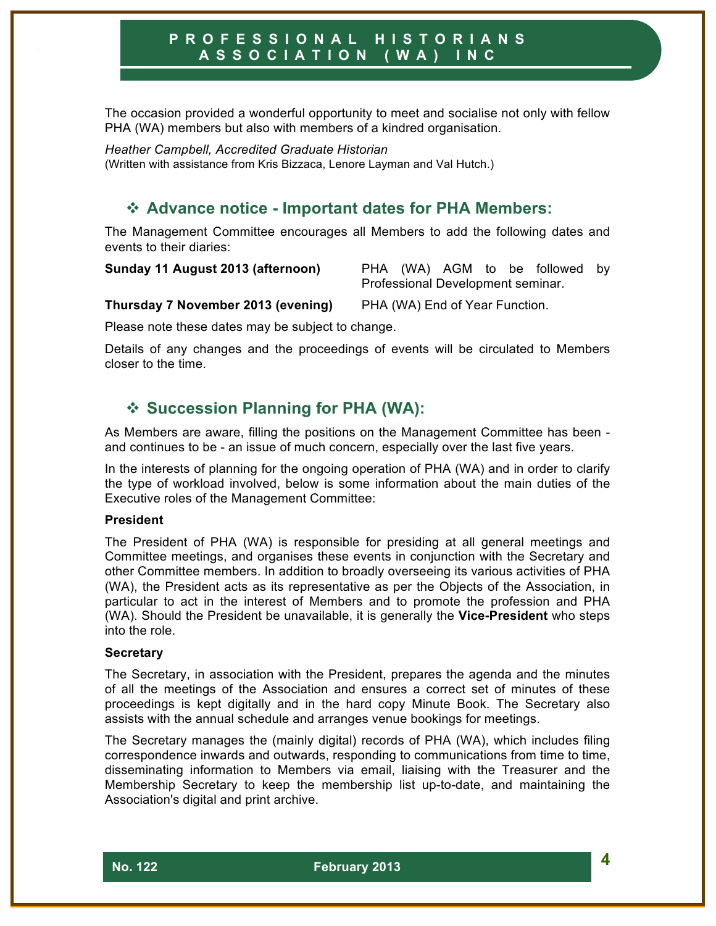The occasion provided a wonderful opportunity to meet and socialise not only with fellow PHA (WA) members but also with members of a kindred organisation.

*Heather Campbell, Accredited Graduate Historian* (Written with assistance from Kris Bizzaca, Lenore Layman and Val Hutch.)

# ! **Advance notice - Important dates for PHA Members:**

The Management Committee encourages all Members to add the following dates and events to their diaries:

**Sunday 11 August 2013 (afternoon)** PHA (WA) AGM to be followed by Professional Development seminar.

**Thursday 7 November 2013 (evening)** PHA (WA) End of Year Function.

Please note these dates may be subject to change.

Details of any changes and the proceedings of events will be circulated to Members closer to the time.

# ! **Succession Planning for PHA (WA):**

As Members are aware, filling the positions on the Management Committee has been and continues to be - an issue of much concern, especially over the last five years.

In the interests of planning for the ongoing operation of PHA (WA) and in order to clarify the type of workload involved, below is some information about the main duties of the Executive roles of the Management Committee:

#### **President**

The President of PHA (WA) is responsible for presiding at all general meetings and Committee meetings, and organises these events in conjunction with the Secretary and other Committee members. In addition to broadly overseeing its various activities of PHA (WA), the President acts as its representative as per the Objects of the Association, in particular to act in the interest of Members and to promote the profession and PHA (WA). Should the President be unavailable, it is generally the **Vice-President** who steps into the role.

#### **Secretary**

The Secretary, in association with the President, prepares the agenda and the minutes of all the meetings of the Association and ensures a correct set of minutes of these proceedings is kept digitally and in the hard copy Minute Book. The Secretary also assists with the annual schedule and arranges venue bookings for meetings.

The Secretary manages the (mainly digital) records of PHA (WA), which includes filing correspondence inwards and outwards, responding to communications from time to time, disseminating information to Members via email, liaising with the Treasurer and the Membership Secretary to keep the membership list up-to-date, and maintaining the Association's digital and print archive.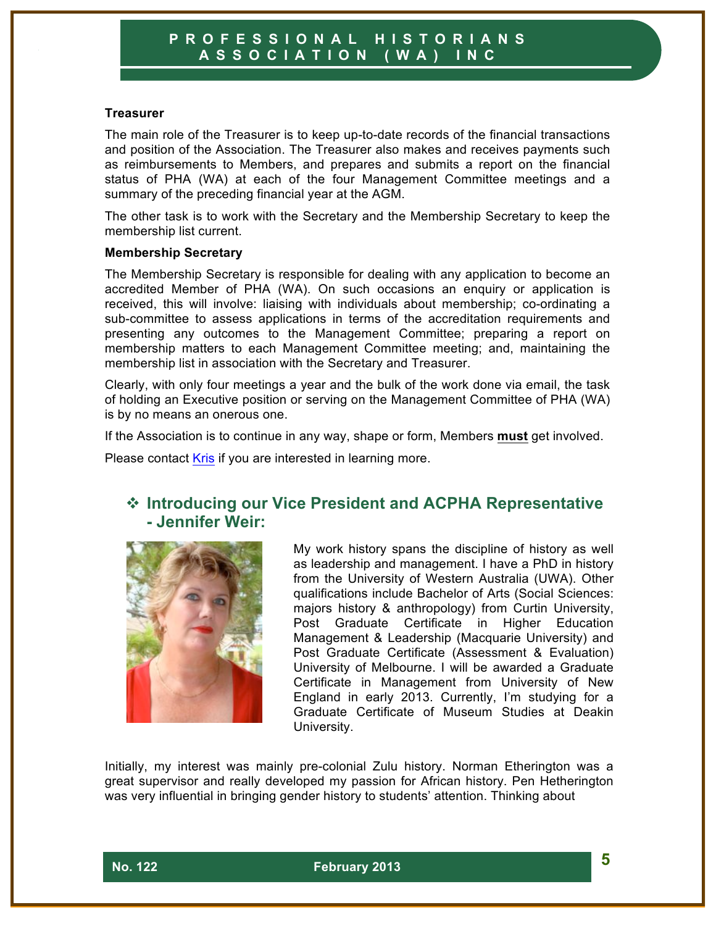#### **Treasurer**

The main role of the Treasurer is to keep up-to-date records of the financial transactions and position of the Association. The Treasurer also makes and receives payments such as reimbursements to Members, and prepares and submits a report on the financial status of PHA (WA) at each of the four Management Committee meetings and a summary of the preceding financial year at the AGM.

The other task is to work with the Secretary and the Membership Secretary to keep the membership list current.

#### **Membership Secretary**

The Membership Secretary is responsible for dealing with any application to become an accredited Member of PHA (WA). On such occasions an enquiry or application is received, this will involve: liaising with individuals about membership; co-ordinating a sub-committee to assess applications in terms of the accreditation requirements and presenting any outcomes to the Management Committee; preparing a report on membership matters to each Management Committee meeting; and, maintaining the membership list in association with the Secretary and Treasurer.

Clearly, with only four meetings a year and the bulk of the work done via email, the task of holding an Executive position or serving on the Management Committee of PHA (WA) is by no means an onerous one.

If the Association is to continue in any way, shape or form, Members **must** get involved.

Please contact Kris if you are interested in learning more.

# ! **Introducing our Vice President and ACPHA Representative - Jennifer Weir:**



My work history spans the discipline of history as well as leadership and management. I have a PhD in history from the University of Western Australia (UWA). Other qualifications include Bachelor of Arts (Social Sciences: majors history & anthropology) from Curtin University, Post Graduate Certificate in Higher Education Management & Leadership (Macquarie University) and Post Graduate Certificate (Assessment & Evaluation) University of Melbourne. I will be awarded a Graduate Certificate in Management from University of New England in early 2013. Currently, I'm studying for a Graduate Certificate of Museum Studies at Deakin University.

Initially, my interest was mainly pre-colonial Zulu history. Norman Etherington was a great supervisor and really developed my passion for African history. Pen Hetherington was very influential in bringing gender history to students' attention. Thinking about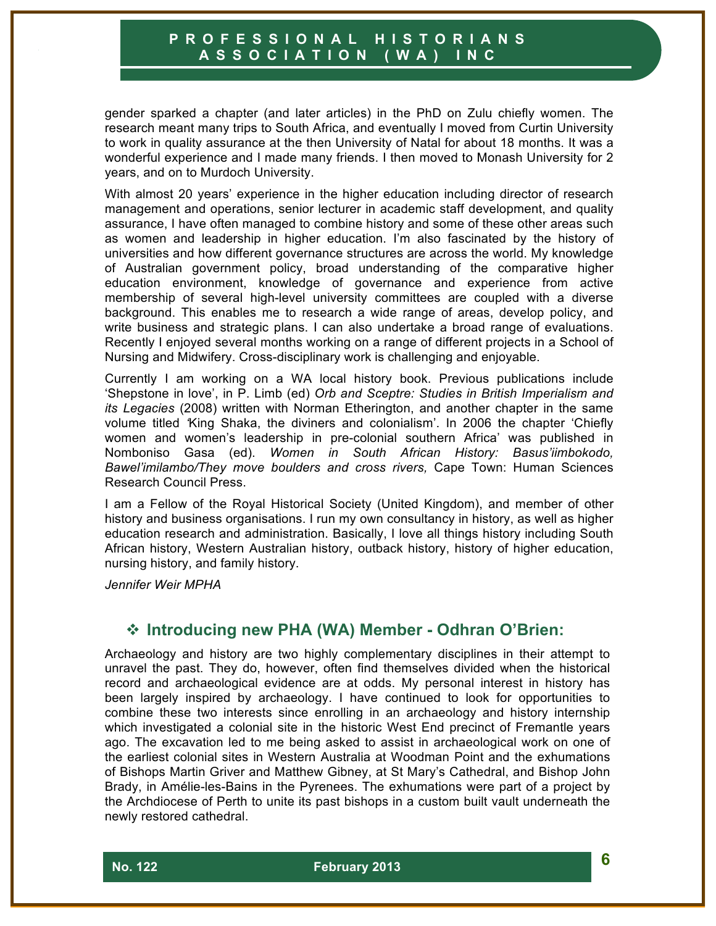gender sparked a chapter (and later articles) in the PhD on Zulu chiefly women. The research meant many trips to South Africa, and eventually I moved from Curtin University to work in quality assurance at the then University of Natal for about 18 months. It was a wonderful experience and I made many friends. I then moved to Monash University for 2 years, and on to Murdoch University.

With almost 20 years' experience in the higher education including director of research management and operations, senior lecturer in academic staff development, and quality assurance, I have often managed to combine history and some of these other areas such as women and leadership in higher education. I'm also fascinated by the history of universities and how different governance structures are across the world. My knowledge of Australian government policy, broad understanding of the comparative higher education environment, knowledge of governance and experience from active membership of several high-level university committees are coupled with a diverse background. This enables me to research a wide range of areas, develop policy, and write business and strategic plans. I can also undertake a broad range of evaluations. Recently I enjoyed several months working on a range of different projects in a School of Nursing and Midwifery. Cross-disciplinary work is challenging and enjoyable.

Currently I am working on a WA local history book. Previous publications include 'Shepstone in love', in P. Limb (ed) *Orb and Sceptre: Studies in British Imperialism and its Legacies* (2008) written with Norman Etherington, and another chapter in the same volume titled *'*King Shaka, the diviners and colonialism'. In 2006 the chapter 'Chiefly women and women's leadership in pre-colonial southern Africa' was published in Nomboniso Gasa (ed). *Women in South African History: Basus'iimbokodo, Bawel'imilambo/They move boulders and cross rivers,* Cape Town: Human Sciences Research Council Press.

I am a Fellow of the Royal Historical Society (United Kingdom), and member of other history and business organisations. I run my own consultancy in history, as well as higher education research and administration. Basically, I love all things history including South African history, Western Australian history, outback history, history of higher education, nursing history, and family history.

*Jennifer Weir MPHA*

# ! **Introducing new PHA (WA) Member - Odhran O'Brien:**

Archaeology and history are two highly complementary disciplines in their attempt to unravel the past. They do, however, often find themselves divided when the historical record and archaeological evidence are at odds. My personal interest in history has been largely inspired by archaeology. I have continued to look for opportunities to combine these two interests since enrolling in an archaeology and history internship which investigated a colonial site in the historic West End precinct of Fremantle years ago. The excavation led to me being asked to assist in archaeological work on one of the earliest colonial sites in Western Australia at Woodman Point and the exhumations of Bishops Martin Griver and Matthew Gibney, at St Mary's Cathedral, and Bishop John Brady, in Amélie-les-Bains in the Pyrenees. The exhumations were part of a project by the Archdiocese of Perth to unite its past bishops in a custom built vault underneath the newly restored cathedral.

 **No. 122 February 2013 6**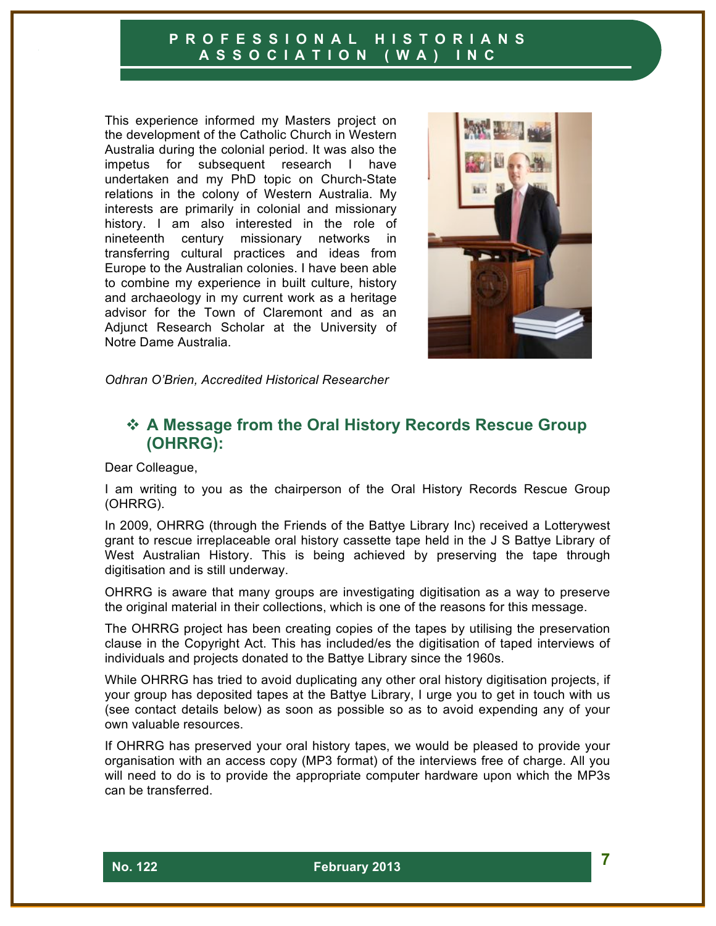This experience informed my Masters project on the development of the Catholic Church in Western Australia during the colonial period. It was also the impetus for subsequent research I have undertaken and my PhD topic on Church-State relations in the colony of Western Australia. My interests are primarily in colonial and missionary history. I am also interested in the role of nineteenth century missionary networks in transferring cultural practices and ideas from Europe to the Australian colonies. I have been able to combine my experience in built culture, history and archaeology in my current work as a heritage advisor for the Town of Claremont and as an Adjunct Research Scholar at the University of Notre Dame Australia.



*Odhran O'Brien, Accredited Historical Researcher*

# **☆ A Message from the Oral History Records Rescue Group (OHRRG):**

Dear Colleague,

I am writing to you as the chairperson of the Oral History Records Rescue Group (OHRRG).

In 2009, OHRRG (through the Friends of the Battye Library Inc) received a Lotterywest grant to rescue irreplaceable oral history cassette tape held in the J S Battye Library of West Australian History. This is being achieved by preserving the tape through digitisation and is still underway.

OHRRG is aware that many groups are investigating digitisation as a way to preserve the original material in their collections, which is one of the reasons for this message.

The OHRRG project has been creating copies of the tapes by utilising the preservation clause in the Copyright Act. This has included/es the digitisation of taped interviews of individuals and projects donated to the Battye Library since the 1960s.

While OHRRG has tried to avoid duplicating any other oral history digitisation projects, if your group has deposited tapes at the Battye Library, I urge you to get in touch with us (see contact details below) as soon as possible so as to avoid expending any of your own valuable resources.

If OHRRG has preserved your oral history tapes, we would be pleased to provide your organisation with an access copy (MP3 format) of the interviews free of charge. All you will need to do is to provide the appropriate computer hardware upon which the MP3s can be transferred.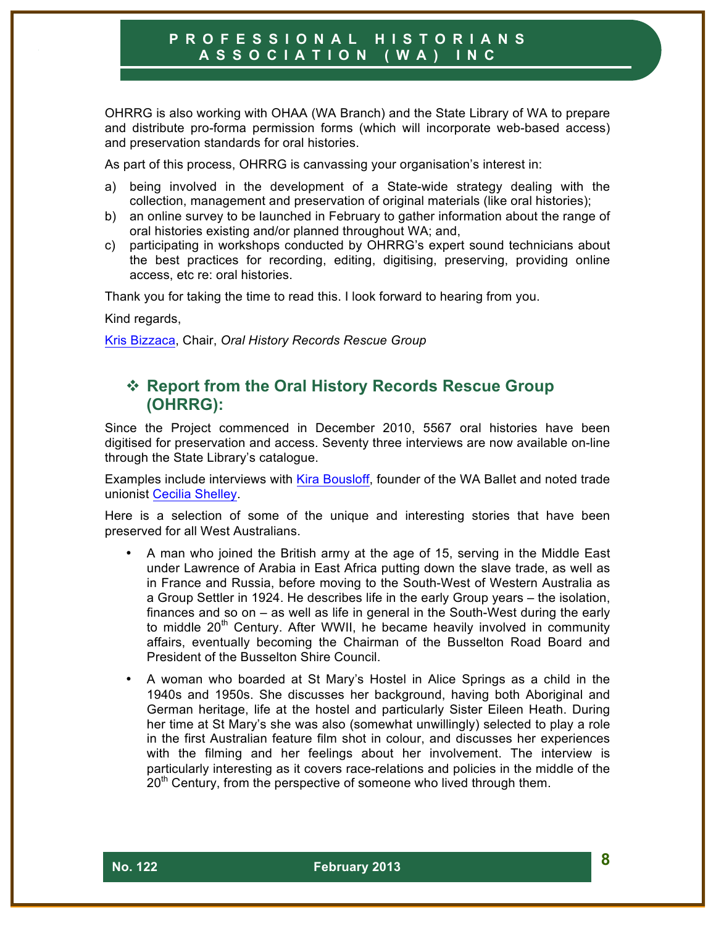OHRRG is also working with OHAA (WA Branch) and the State Library of WA to prepare and distribute pro-forma permission forms (which will incorporate web-based access) and preservation standards for oral histories.

As part of this process, OHRRG is canvassing your organisation's interest in:

- a) being involved in the development of a State-wide strategy dealing with the collection, management and preservation of original materials (like oral histories);
- b) an online survey to be launched in February to gather information about the range of oral histories existing and/or planned throughout WA; and,
- c) participating in workshops conducted by OHRRG's expert sound technicians about the best practices for recording, editing, digitising, preserving, providing online access, etc re: oral histories.

Thank you for taking the time to read this. I look forward to hearing from you.

Kind regards,

Kris Bizzaca, Chair, *Oral History Records Rescue Group*

# ! **Report from the Oral History Records Rescue Group (OHRRG):**

Since the Project commenced in December 2010, 5567 oral histories have been digitised for preservation and access. Seventy three interviews are now available on-line through the State Library's catalogue.

Examples include interviews with Kira Bousloff, founder of the WA Ballet and noted trade unionist Cecilia Shelley.

Here is a selection of some of the unique and interesting stories that have been preserved for all West Australians.

- A man who joined the British army at the age of 15, serving in the Middle East under Lawrence of Arabia in East Africa putting down the slave trade, as well as in France and Russia, before moving to the South-West of Western Australia as a Group Settler in 1924. He describes life in the early Group years – the isolation, finances and so on – as well as life in general in the South-West during the early to middle 20<sup>th</sup> Century. After WWII, he became heavily involved in community affairs, eventually becoming the Chairman of the Busselton Road Board and President of the Busselton Shire Council.
- A woman who boarded at St Mary's Hostel in Alice Springs as a child in the 1940s and 1950s. She discusses her background, having both Aboriginal and German heritage, life at the hostel and particularly Sister Eileen Heath. During her time at St Mary's she was also (somewhat unwillingly) selected to play a role in the first Australian feature film shot in colour, and discusses her experiences with the filming and her feelings about her involvement. The interview is particularly interesting as it covers race-relations and policies in the middle of the  $20<sup>th</sup>$  Century, from the perspective of someone who lived through them.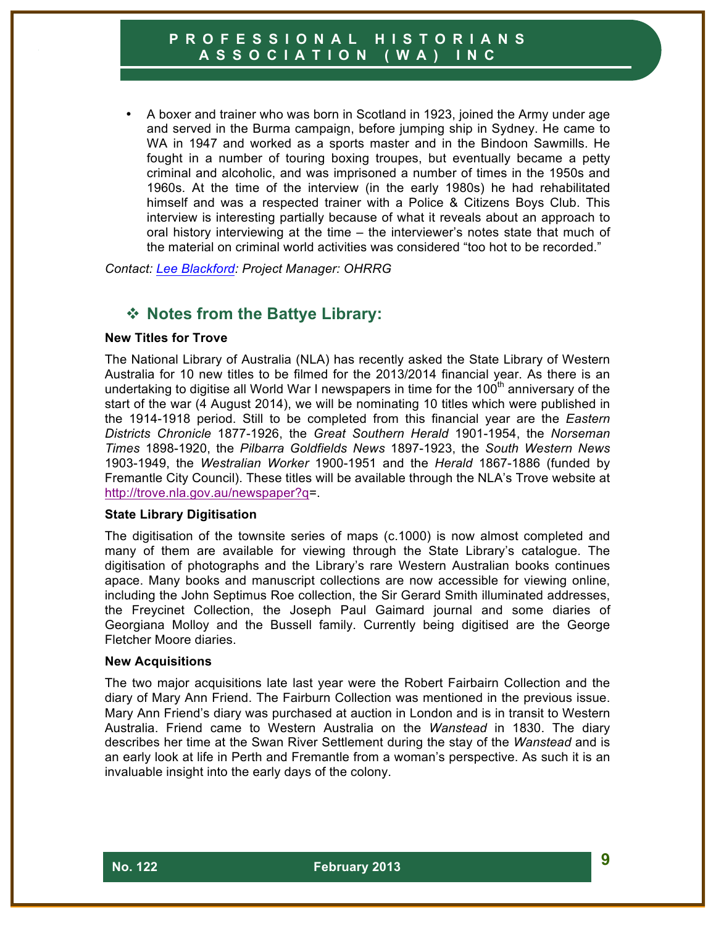• A boxer and trainer who was born in Scotland in 1923, joined the Army under age and served in the Burma campaign, before jumping ship in Sydney. He came to WA in 1947 and worked as a sports master and in the Bindoon Sawmills. He fought in a number of touring boxing troupes, but eventually became a petty criminal and alcoholic, and was imprisoned a number of times in the 1950s and 1960s. At the time of the interview (in the early 1980s) he had rehabilitated himself and was a respected trainer with a Police & Citizens Boys Club. This interview is interesting partially because of what it reveals about an approach to oral history interviewing at the time – the interviewer's notes state that much of the material on criminal world activities was considered "too hot to be recorded."

*Contact: Lee Blackford: Project Manager: OHRRG*

# ! **Notes from the Battye Library:**

#### **New Titles for Trove**

The National Library of Australia (NLA) has recently asked the State Library of Western Australia for 10 new titles to be filmed for the 2013/2014 financial year. As there is an undertaking to digitise all World War I newspapers in time for the 100<sup>th</sup> anniversary of the start of the war (4 August 2014), we will be nominating 10 titles which were published in the 1914-1918 period. Still to be completed from this financial year are the *Eastern Districts Chronicle* 1877-1926, the *Great Southern Herald* 1901-1954, the *Norseman Times* 1898-1920, the *Pilbarra Goldfields News* 1897-1923, the *South Western News* 1903-1949, the *Westralian Worker* 1900-1951 and the *Herald* 1867-1886 (funded by Fremantle City Council). These titles will be available through the NLA's Trove website at http://trove.nla.gov.au/newspaper?q=.

#### **State Library Digitisation**

The digitisation of the townsite series of maps (c.1000) is now almost completed and many of them are available for viewing through the State Library's catalogue. The digitisation of photographs and the Library's rare Western Australian books continues apace. Many books and manuscript collections are now accessible for viewing online, including the John Septimus Roe collection, the Sir Gerard Smith illuminated addresses, the Freycinet Collection, the Joseph Paul Gaimard journal and some diaries of Georgiana Molloy and the Bussell family. Currently being digitised are the George Fletcher Moore diaries.

#### **New Acquisitions**

The two major acquisitions late last year were the Robert Fairbairn Collection and the diary of Mary Ann Friend. The Fairburn Collection was mentioned in the previous issue. Mary Ann Friend's diary was purchased at auction in London and is in transit to Western Australia. Friend came to Western Australia on the *Wanstead* in 1830. The diary describes her time at the Swan River Settlement during the stay of the *Wanstead* and is an early look at life in Perth and Fremantle from a woman's perspective. As such it is an invaluable insight into the early days of the colony.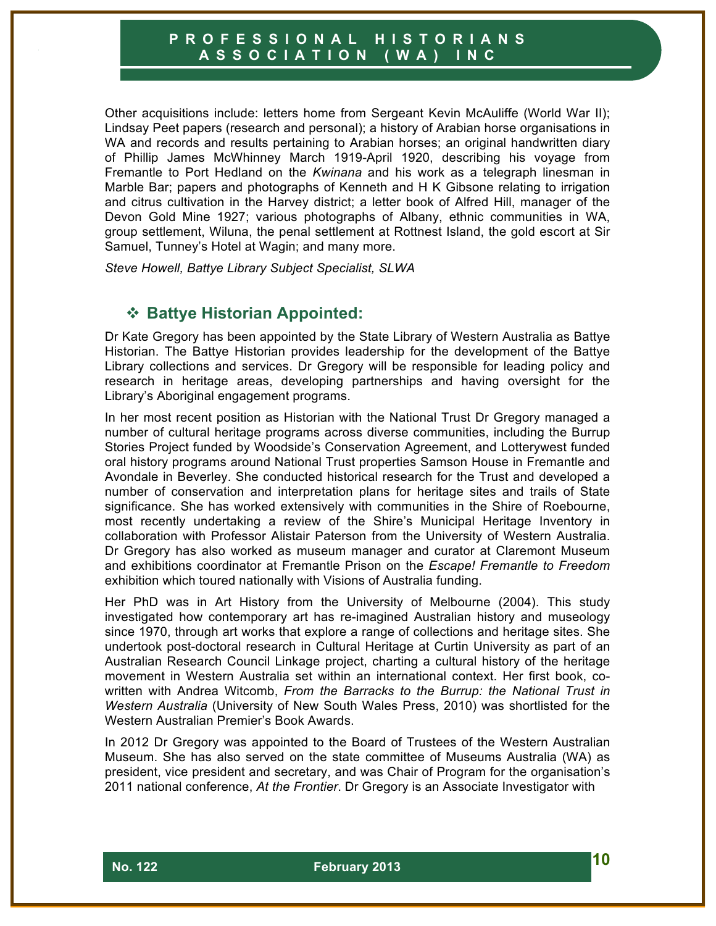Other acquisitions include: letters home from Sergeant Kevin McAuliffe (World War II); Lindsay Peet papers (research and personal); a history of Arabian horse organisations in WA and records and results pertaining to Arabian horses; an original handwritten diary of Phillip James McWhinney March 1919-April 1920, describing his voyage from Fremantle to Port Hedland on the *Kwinana* and his work as a telegraph linesman in Marble Bar; papers and photographs of Kenneth and H K Gibsone relating to irrigation and citrus cultivation in the Harvey district; a letter book of Alfred Hill, manager of the Devon Gold Mine 1927; various photographs of Albany, ethnic communities in WA, group settlement, Wiluna, the penal settlement at Rottnest Island, the gold escort at Sir Samuel, Tunney's Hotel at Wagin; and many more.

*Steve Howell, Battye Library Subject Specialist, SLWA*

# ! **Battye Historian Appointed:**

Dr Kate Gregory has been appointed by the State Library of Western Australia as Battye Historian. The Battye Historian provides leadership for the development of the Battye Library collections and services. Dr Gregory will be responsible for leading policy and research in heritage areas, developing partnerships and having oversight for the Library's Aboriginal engagement programs.

In her most recent position as Historian with the National Trust Dr Gregory managed a number of cultural heritage programs across diverse communities, including the Burrup Stories Project funded by Woodside's Conservation Agreement, and Lotterywest funded oral history programs around National Trust properties Samson House in Fremantle and Avondale in Beverley. She conducted historical research for the Trust and developed a number of conservation and interpretation plans for heritage sites and trails of State significance. She has worked extensively with communities in the Shire of Roebourne, most recently undertaking a review of the Shire's Municipal Heritage Inventory in collaboration with Professor Alistair Paterson from the University of Western Australia. Dr Gregory has also worked as museum manager and curator at Claremont Museum and exhibitions coordinator at Fremantle Prison on the *Escape! Fremantle to Freedom* exhibition which toured nationally with Visions of Australia funding.

Her PhD was in Art History from the University of Melbourne (2004). This study investigated how contemporary art has re-imagined Australian history and museology since 1970, through art works that explore a range of collections and heritage sites. She undertook post-doctoral research in Cultural Heritage at Curtin University as part of an Australian Research Council Linkage project, charting a cultural history of the heritage movement in Western Australia set within an international context. Her first book, cowritten with Andrea Witcomb, *From the Barracks to the Burrup: the National Trust in Western Australia* (University of New South Wales Press, 2010) was shortlisted for the Western Australian Premier's Book Awards.

In 2012 Dr Gregory was appointed to the Board of Trustees of the Western Australian Museum. She has also served on the state committee of Museums Australia (WA) as president, vice president and secretary, and was Chair of Program for the organisation's 2011 national conference, *At the Frontier*. Dr Gregory is an Associate Investigator with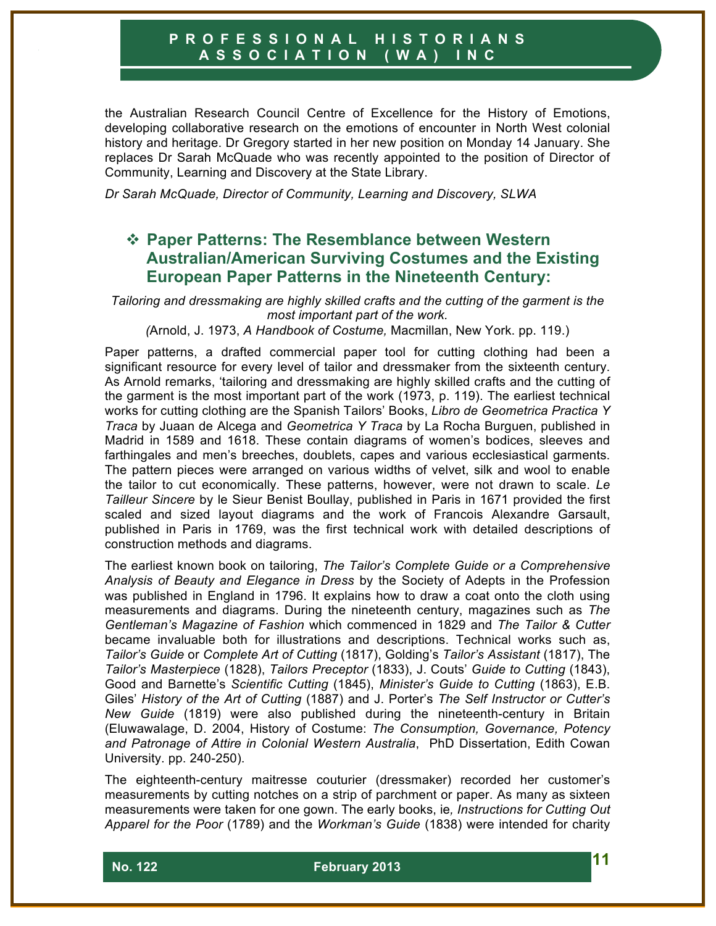the Australian Research Council Centre of Excellence for the History of Emotions, developing collaborative research on the emotions of encounter in North West colonial history and heritage. Dr Gregory started in her new position on Monday 14 January. She replaces Dr Sarah McQuade who was recently appointed to the position of Director of Community, Learning and Discovery at the State Library.

*Dr Sarah McQuade, Director of Community, Learning and Discovery, SLWA*

# **☆ Paper Patterns: The Resemblance between Western Australian/American Surviving Costumes and the Existing European Paper Patterns in the Nineteenth Century:**

*Tailoring and dressmaking are highly skilled crafts and the cutting of the garment is the most important part of the work.*

*(*Arnold, J. 1973, *A Handbook of Costume,* Macmillan, New York. pp. 119.)

Paper patterns, a drafted commercial paper tool for cutting clothing had been a significant resource for every level of tailor and dressmaker from the sixteenth century. As Arnold remarks, 'tailoring and dressmaking are highly skilled crafts and the cutting of the garment is the most important part of the work (1973, p. 119). The earliest technical works for cutting clothing are the Spanish Tailors' Books, *Libro de Geometrica Practica Y Traca* by Juaan de Alcega and *Geometrica Y Traca* by La Rocha Burguen, published in Madrid in 1589 and 1618. These contain diagrams of women's bodices, sleeves and farthingales and men's breeches, doublets, capes and various ecclesiastical garments. The pattern pieces were arranged on various widths of velvet, silk and wool to enable the tailor to cut economically. These patterns, however, were not drawn to scale. *Le Tailleur Sincere* by le Sieur Benist Boullay, published in Paris in 1671 provided the first scaled and sized layout diagrams and the work of Francois Alexandre Garsault, published in Paris in 1769, was the first technical work with detailed descriptions of construction methods and diagrams.

The earliest known book on tailoring, *The Tailor's Complete Guide or a Comprehensive Analysis of Beauty and Elegance in Dress* by the Society of Adepts in the Profession was published in England in 1796. It explains how to draw a coat onto the cloth using measurements and diagrams. During the nineteenth century, magazines such as *The Gentleman's Magazine of Fashion* which commenced in 1829 and *The Tailor & Cutter* became invaluable both for illustrations and descriptions. Technical works such as, *Tailor's Guide* or *Complete Art of Cutting* (1817), Golding's *Tailor's Assistant* (1817), The *Tailor's Masterpiece* (1828), *Tailors Preceptor* (1833), J. Couts' *Guide to Cutting* (1843), Good and Barnette's *Scientific Cutting* (1845), *Minister's Guide to Cutting* (1863), E.B. Giles' *History of the Art of Cutting* (1887) and J. Porter's *The Self Instructor or Cutter's New Guide* (1819) were also published during the nineteenth-century in Britain (Eluwawalage, D. 2004, History of Costume: *The Consumption, Governance, Potency and Patronage of Attire in Colonial Western Australia*, PhD Dissertation, Edith Cowan University. pp. 240-250).

The eighteenth-century maitresse couturier (dressmaker) recorded her customer's measurements by cutting notches on a strip of parchment or paper. As many as sixteen measurements were taken for one gown. The early books, ie*, Instructions for Cutting Out Apparel for the Poor* (1789) and the *Workman's Guide* (1838) were intended for charity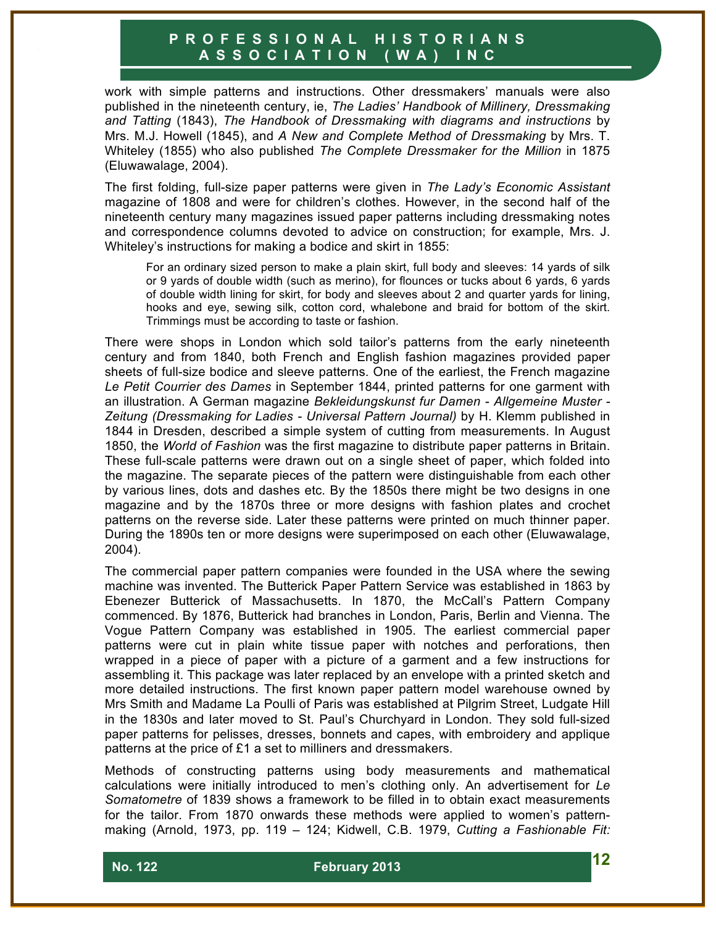work with simple patterns and instructions. Other dressmakers' manuals were also published in the nineteenth century, ie, *The Ladies' Handbook of Millinery, Dressmaking and Tatting* (1843), *The Handbook of Dressmaking with diagrams and instructions* by Mrs. M.J. Howell (1845), and *A New and Complete Method of Dressmaking* by Mrs. T. Whiteley (1855) who also published *The Complete Dressmaker for the Million* in 1875 (Eluwawalage, 2004).

The first folding, full-size paper patterns were given in *The Lady's Economic Assistant*  magazine of 1808 and were for children's clothes. However, in the second half of the nineteenth century many magazines issued paper patterns including dressmaking notes and correspondence columns devoted to advice on construction; for example, Mrs. J. Whiteley's instructions for making a bodice and skirt in 1855:

For an ordinary sized person to make a plain skirt, full body and sleeves: 14 yards of silk or 9 yards of double width (such as merino), for flounces or tucks about 6 yards, 6 yards of double width lining for skirt, for body and sleeves about 2 and quarter yards for lining, hooks and eye, sewing silk, cotton cord, whalebone and braid for bottom of the skirt. Trimmings must be according to taste or fashion.

There were shops in London which sold tailor's patterns from the early nineteenth century and from 1840, both French and English fashion magazines provided paper sheets of full-size bodice and sleeve patterns. One of the earliest, the French magazine *Le Petit Courrier des Dames* in September 1844, printed patterns for one garment with an illustration. A German magazine *Bekleidungskunst fur Damen - Allgemeine Muster - Zeitung (Dressmaking for Ladies - Universal Pattern Journal)* by H. Klemm published in 1844 in Dresden, described a simple system of cutting from measurements. In August 1850, the *World of Fashion* was the first magazine to distribute paper patterns in Britain. These full-scale patterns were drawn out on a single sheet of paper, which folded into the magazine. The separate pieces of the pattern were distinguishable from each other by various lines, dots and dashes etc. By the 1850s there might be two designs in one magazine and by the 1870s three or more designs with fashion plates and crochet patterns on the reverse side. Later these patterns were printed on much thinner paper. During the 1890s ten or more designs were superimposed on each other (Eluwawalage, 2004).

The commercial paper pattern companies were founded in the USA where the sewing machine was invented. The Butterick Paper Pattern Service was established in 1863 by Ebenezer Butterick of Massachusetts. In 1870, the McCall's Pattern Company commenced. By 1876, Butterick had branches in London, Paris, Berlin and Vienna. The Vogue Pattern Company was established in 1905. The earliest commercial paper patterns were cut in plain white tissue paper with notches and perforations, then wrapped in a piece of paper with a picture of a garment and a few instructions for assembling it. This package was later replaced by an envelope with a printed sketch and more detailed instructions. The first known paper pattern model warehouse owned by Mrs Smith and Madame La Poulli of Paris was established at Pilgrim Street, Ludgate Hill in the 1830s and later moved to St. Paul's Churchyard in London. They sold full-sized paper patterns for pelisses, dresses, bonnets and capes, with embroidery and applique patterns at the price of £1 a set to milliners and dressmakers.

Methods of constructing patterns using body measurements and mathematical calculations were initially introduced to men's clothing only. An advertisement for *Le Somatometre* of 1839 shows a framework to be filled in to obtain exact measurements for the tailor. From 1870 onwards these methods were applied to women's patternmaking (Arnold, 1973, pp. 119 – 124; Kidwell, C.B. 1979, *Cutting a Fashionable Fit:*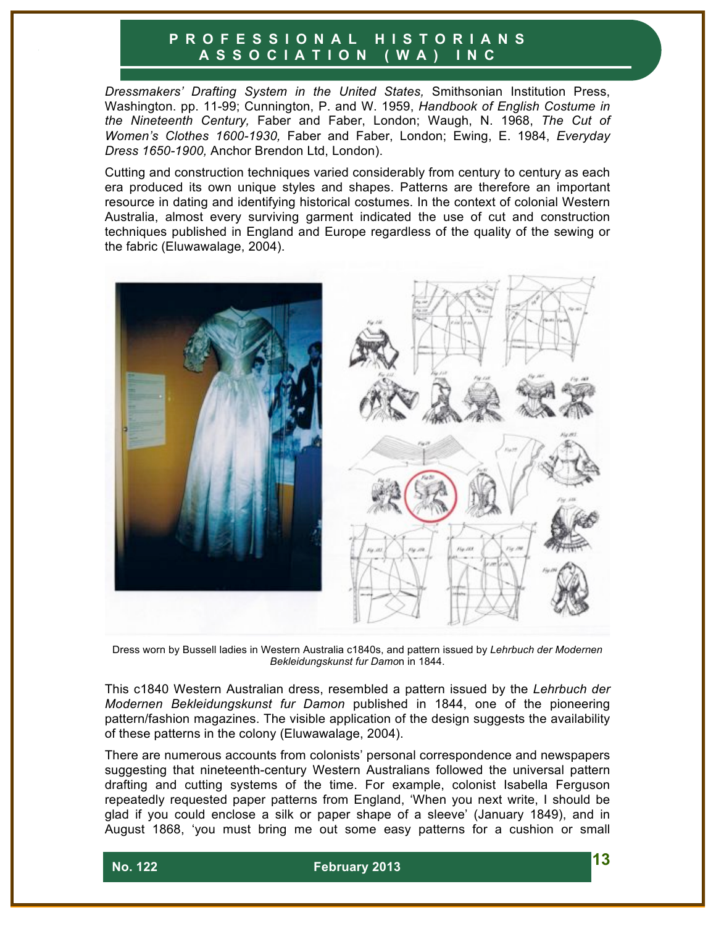*Dressmakers' Drafting System in the United States,* Smithsonian Institution Press, Washington. pp. 11-99; Cunnington, P. and W. 1959, *Handbook of English Costume in the Nineteenth Century,* Faber and Faber, London; Waugh, N. 1968, *The Cut of Women's Clothes 1600-1930,* Faber and Faber, London; Ewing, E. 1984, *Everyday Dress 1650-1900,* Anchor Brendon Ltd, London).

Cutting and construction techniques varied considerably from century to century as each era produced its own unique styles and shapes. Patterns are therefore an important resource in dating and identifying historical costumes. In the context of colonial Western Australia, almost every surviving garment indicated the use of cut and construction techniques published in England and Europe regardless of the quality of the sewing or the fabric (Eluwawalage, 2004).



Dress worn by Bussell ladies in Western Australia c1840s, and pattern issued by *Lehrbuch der Modernen Bekleidungskunst fur Damo*n in 1844.

This c1840 Western Australian dress, resembled a pattern issued by the *Lehrbuch der Modernen Bekleidungskunst fur Damon* published in 1844, one of the pioneering pattern/fashion magazines. The visible application of the design suggests the availability of these patterns in the colony (Eluwawalage, 2004).

There are numerous accounts from colonists' personal correspondence and newspapers suggesting that nineteenth-century Western Australians followed the universal pattern drafting and cutting systems of the time. For example, colonist Isabella Ferguson repeatedly requested paper patterns from England, 'When you next write, I should be glad if you could enclose a silk or paper shape of a sleeve' (January 1849), and in August 1868, 'you must bring me out some easy patterns for a cushion or small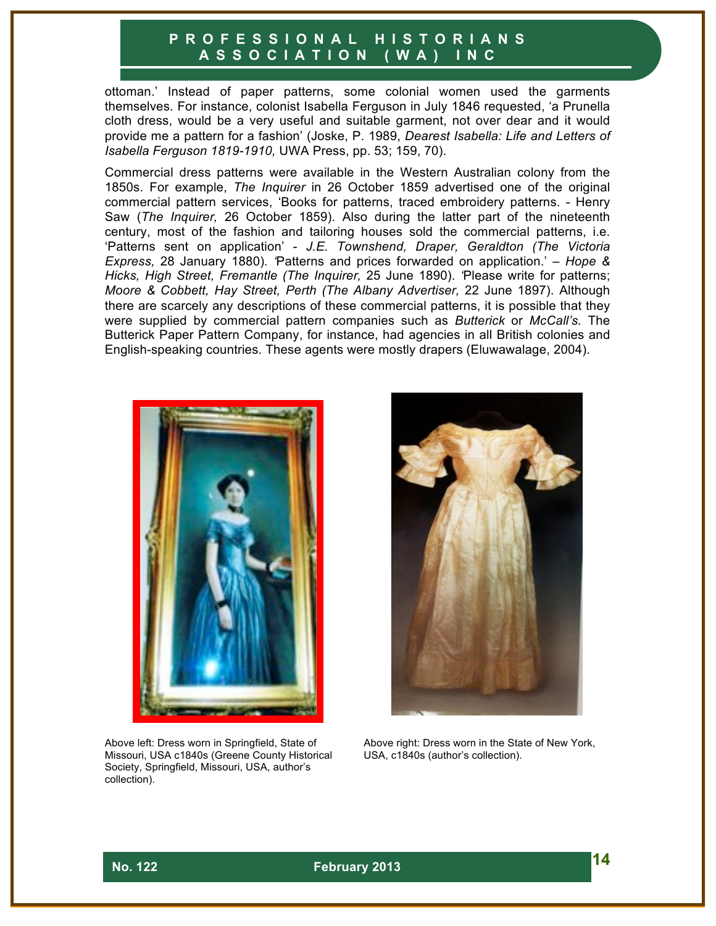ottoman.' Instead of paper patterns, some colonial women used the garments themselves. For instance, colonist Isabella Ferguson in July 1846 requested, 'a Prunella cloth dress, would be a very useful and suitable garment, not over dear and it would provide me a pattern for a fashion' (Joske, P. 1989, *Dearest Isabella: Life and Letters of Isabella Ferguson 1819-1910,* UWA Press, pp. 53; 159, 70).

Commercial dress patterns were available in the Western Australian colony from the 1850s. For example, *The Inquirer* in 26 October 1859 advertised one of the original commercial pattern services, 'Books for patterns, traced embroidery patterns. - Henry Saw (*The Inquirer,* 26 October 1859). Also during the latter part of the nineteenth century, most of the fashion and tailoring houses sold the commercial patterns, i.e. 'Patterns sent on application' - *J.E. Townshend, Draper, Geraldton (The Victoria Express,* 28 January 1880)*. '*Patterns and prices forwarded on application.' – *Hope & Hicks, High Street, Fremantle (The Inquirer,* 25 June 1890). *'*Please write for patterns; *Moore & Cobbett, Hay Street, Perth (The Albany Advertiser,* 22 June 1897). Although there are scarcely any descriptions of these commercial patterns, it is possible that they were supplied by commercial pattern companies such as *Butterick* or *McCall's.* The Butterick Paper Pattern Company, for instance, had agencies in all British colonies and English-speaking countries. These agents were mostly drapers (Eluwawalage, 2004).



Above left: Dress worn in Springfield, State of Missouri, USA c1840s (Greene County Historical Society, Springfield, Missouri, USA, author's collection).



Above right: Dress worn in the State of New York, USA, c1840s (author's collection).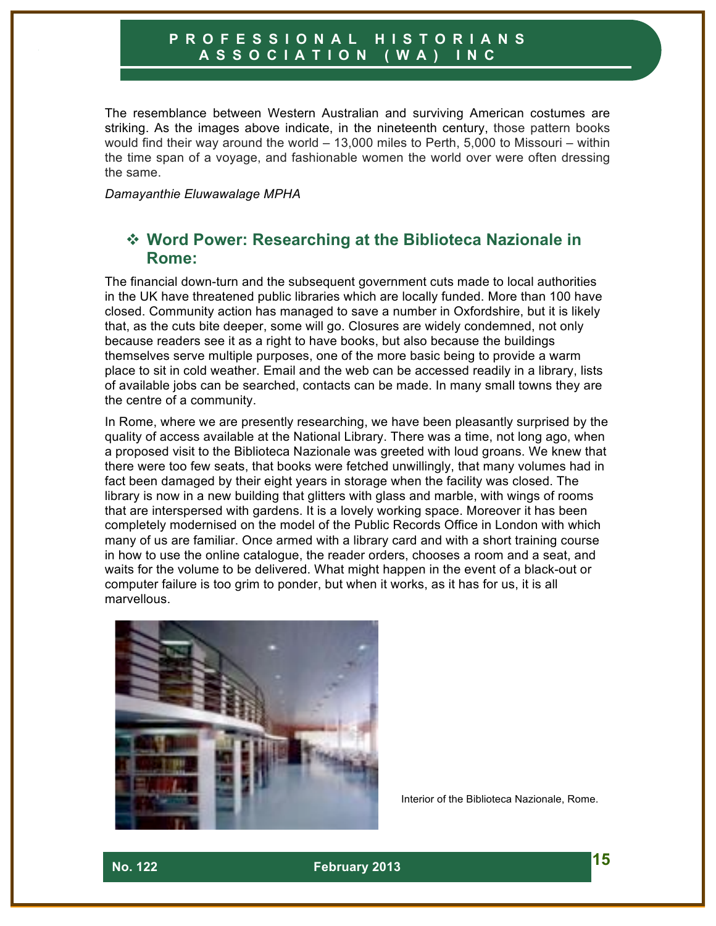The resemblance between Western Australian and surviving American costumes are striking. As the images above indicate, in the nineteenth century, those pattern books would find their way around the world – 13,000 miles to Perth, 5,000 to Missouri – within the time span of a voyage, and fashionable women the world over were often dressing the same.

*Damayanthie Eluwawalage MPHA*

# **❖ Word Power: Researching at the Biblioteca Nazionale in Rome:**

The financial down-turn and the subsequent government cuts made to local authorities in the UK have threatened public libraries which are locally funded. More than 100 have closed. Community action has managed to save a number in Oxfordshire, but it is likely that, as the cuts bite deeper, some will go. Closures are widely condemned, not only because readers see it as a right to have books, but also because the buildings themselves serve multiple purposes, one of the more basic being to provide a warm place to sit in cold weather. Email and the web can be accessed readily in a library, lists of available jobs can be searched, contacts can be made. In many small towns they are the centre of a community.

In Rome, where we are presently researching, we have been pleasantly surprised by the quality of access available at the National Library. There was a time, not long ago, when a proposed visit to the Biblioteca Nazionale was greeted with loud groans. We knew that there were too few seats, that books were fetched unwillingly, that many volumes had in fact been damaged by their eight years in storage when the facility was closed. The library is now in a new building that glitters with glass and marble, with wings of rooms that are interspersed with gardens. It is a lovely working space. Moreover it has been completely modernised on the model of the Public Records Office in London with which many of us are familiar. Once armed with a library card and with a short training course in how to use the online catalogue, the reader orders, chooses a room and a seat, and waits for the volume to be delivered. What might happen in the event of a black-out or computer failure is too grim to ponder, but when it works, as it has for us, it is all marvellous.



Interior of the Biblioteca Nazionale, Rome.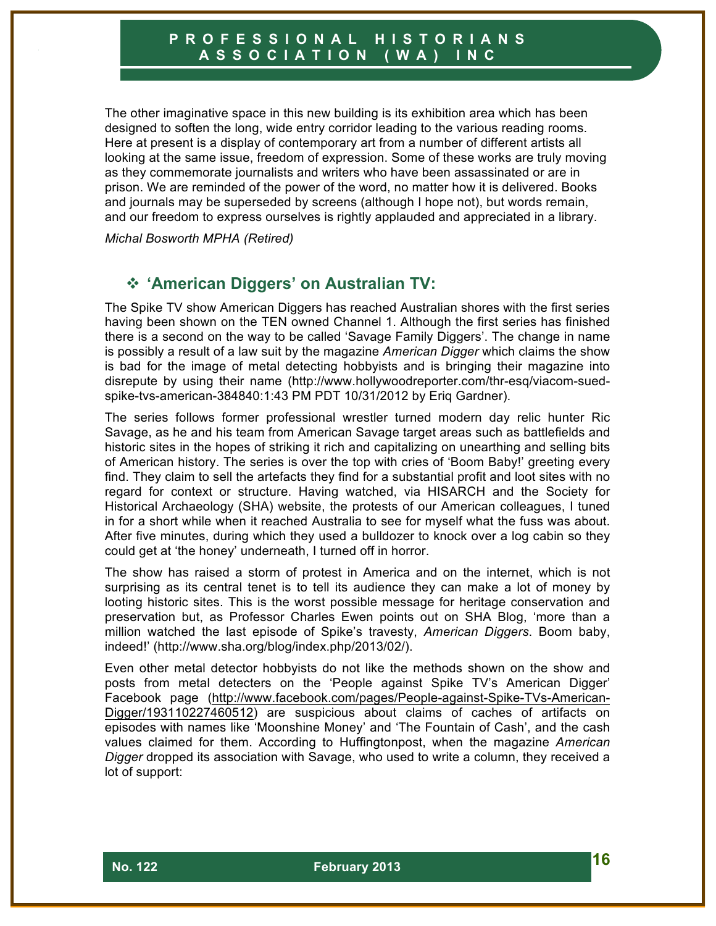The other imaginative space in this new building is its exhibition area which has been designed to soften the long, wide entry corridor leading to the various reading rooms. Here at present is a display of contemporary art from a number of different artists all looking at the same issue, freedom of expression. Some of these works are truly moving as they commemorate journalists and writers who have been assassinated or are in prison. We are reminded of the power of the word, no matter how it is delivered. Books and journals may be superseded by screens (although I hope not), but words remain, and our freedom to express ourselves is rightly applauded and appreciated in a library.

*Michal Bosworth MPHA (Retired)*

# ! **'American Diggers' on Australian TV:**

The Spike TV show American Diggers has reached Australian shores with the first series having been shown on the TEN owned Channel 1. Although the first series has finished there is a second on the way to be called 'Savage Family Diggers'. The change in name is possibly a result of a law suit by the magazine *American Digger* which claims the show is bad for the image of metal detecting hobbyists and is bringing their magazine into disrepute by using their name (http://www.hollywoodreporter.com/thr-esq/viacom-suedspike-tvs-american-384840:1:43 PM PDT 10/31/2012 by Eriq Gardner).

The series follows former professional wrestler turned modern day relic hunter Ric Savage, as he and his team from American Savage target areas such as battlefields and historic sites in the hopes of striking it rich and capitalizing on unearthing and selling bits of American history. The series is over the top with cries of 'Boom Baby!' greeting every find. They claim to sell the artefacts they find for a substantial profit and loot sites with no regard for context or structure. Having watched, via HISARCH and the Society for Historical Archaeology (SHA) website, the protests of our American colleagues, I tuned in for a short while when it reached Australia to see for myself what the fuss was about. After five minutes, during which they used a bulldozer to knock over a log cabin so they could get at 'the honey' underneath, I turned off in horror.

The show has raised a storm of protest in America and on the internet, which is not surprising as its central tenet is to tell its audience they can make a lot of money by looting historic sites. This is the worst possible message for heritage conservation and preservation but, as Professor Charles Ewen points out on SHA Blog, 'more than a million watched the last episode of Spike's travesty, *American Diggers*. Boom baby, indeed!' (http://www.sha.org/blog/index.php/2013/02/).

Even other metal detector hobbyists do not like the methods shown on the show and posts from metal detecters on the 'People against Spike TV's American Digger' Facebook page (http://www.facebook.com/pages/People-against-Spike-TVs-American-Digger/193110227460512) are suspicious about claims of caches of artifacts on episodes with names like 'Moonshine Money' and 'The Fountain of Cash', and the cash values claimed for them. According to Huffingtonpost, when the magazine *American Digger* dropped its association with Savage, who used to write a column, they received a lot of support: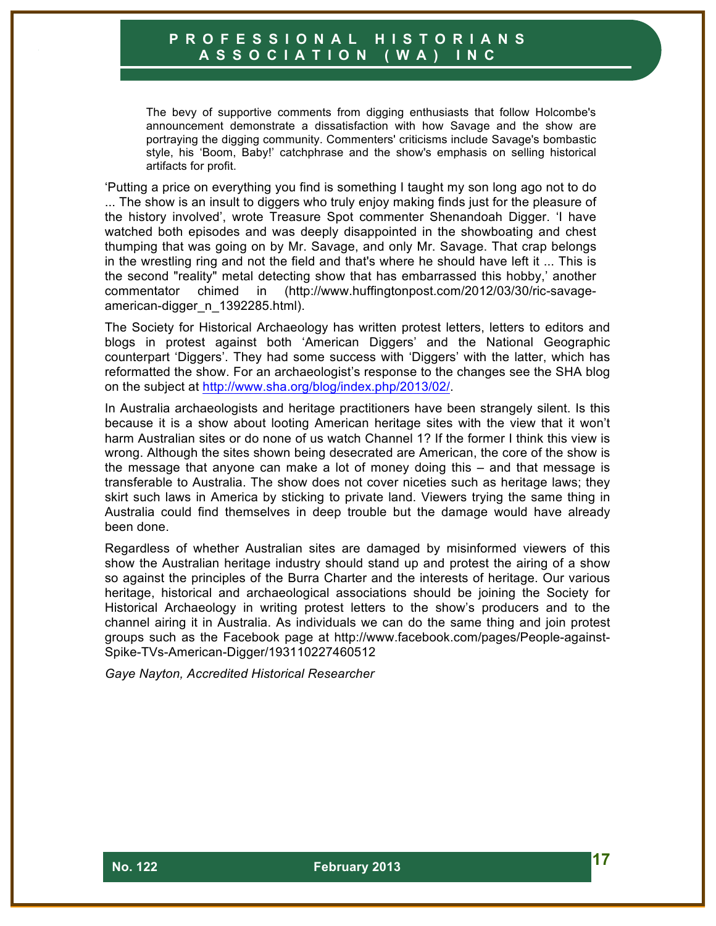The bevy of supportive comments from digging enthusiasts that follow Holcombe's announcement demonstrate a dissatisfaction with how Savage and the show are portraying the digging community. Commenters' criticisms include Savage's bombastic style, his 'Boom, Baby!' catchphrase and the show's emphasis on selling historical artifacts for profit.

'Putting a price on everything you find is something I taught my son long ago not to do ... The show is an insult to diggers who truly enjoy making finds just for the pleasure of the history involved', wrote Treasure Spot commenter Shenandoah Digger. 'I have watched both episodes and was deeply disappointed in the showboating and chest thumping that was going on by Mr. Savage, and only Mr. Savage. That crap belongs in the wrestling ring and not the field and that's where he should have left it ... This is the second "reality" metal detecting show that has embarrassed this hobby,' another commentator chimed in (http://www.huffingtonpost.com/2012/03/30/ric-savageamerican-digger\_n\_1392285.html).

The Society for Historical Archaeology has written protest letters, letters to editors and blogs in protest against both 'American Diggers' and the National Geographic counterpart 'Diggers'. They had some success with 'Diggers' with the latter, which has reformatted the show. For an archaeologist's response to the changes see the SHA blog on the subject at http://www.sha.org/blog/index.php/2013/02/.

In Australia archaeologists and heritage practitioners have been strangely silent. Is this because it is a show about looting American heritage sites with the view that it won't harm Australian sites or do none of us watch Channel 1? If the former I think this view is wrong. Although the sites shown being desecrated are American, the core of the show is the message that anyone can make a lot of money doing this – and that message is transferable to Australia. The show does not cover niceties such as heritage laws; they skirt such laws in America by sticking to private land. Viewers trying the same thing in Australia could find themselves in deep trouble but the damage would have already been done.

Regardless of whether Australian sites are damaged by misinformed viewers of this show the Australian heritage industry should stand up and protest the airing of a show so against the principles of the Burra Charter and the interests of heritage. Our various heritage, historical and archaeological associations should be joining the Society for Historical Archaeology in writing protest letters to the show's producers and to the channel airing it in Australia. As individuals we can do the same thing and join protest groups such as the Facebook page at http://www.facebook.com/pages/People-against-Spike-TVs-American-Digger/193110227460512

*Gaye Nayton, Accredited Historical Researcher*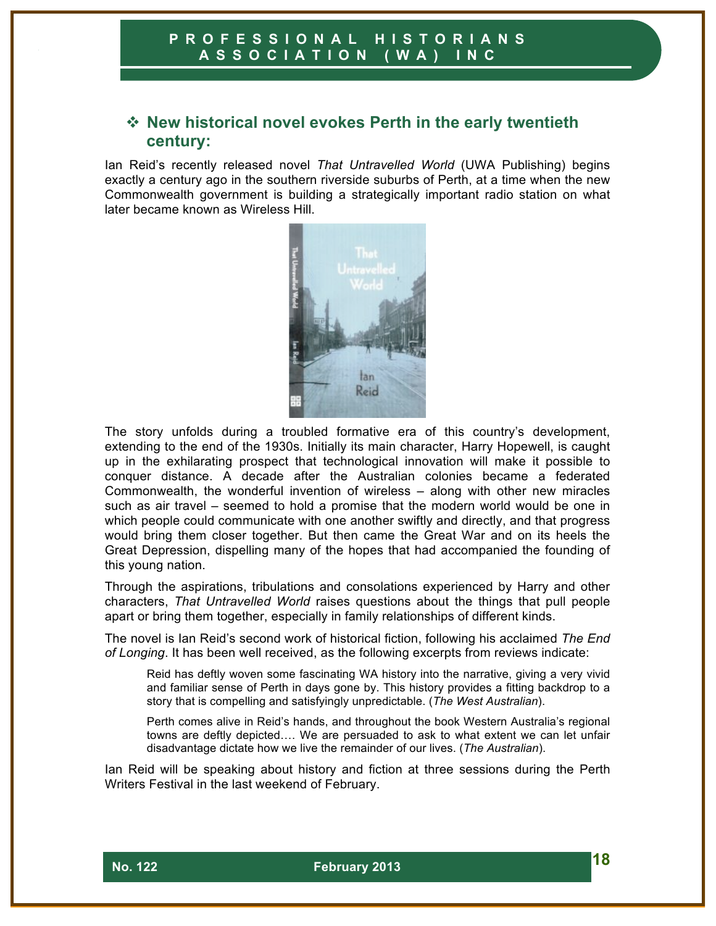# **☆ New historical novel evokes Perth in the early twentieth century:**

Ian Reid's recently released novel *That Untravelled World* (UWA Publishing) begins exactly a century ago in the southern riverside suburbs of Perth, at a time when the new Commonwealth government is building a strategically important radio station on what later became known as Wireless Hill.



The story unfolds during a troubled formative era of this country's development, extending to the end of the 1930s. Initially its main character, Harry Hopewell, is caught up in the exhilarating prospect that technological innovation will make it possible to conquer distance. A decade after the Australian colonies became a federated Commonwealth, the wonderful invention of wireless – along with other new miracles such as air travel – seemed to hold a promise that the modern world would be one in which people could communicate with one another swiftly and directly, and that progress would bring them closer together. But then came the Great War and on its heels the Great Depression, dispelling many of the hopes that had accompanied the founding of this young nation.

Through the aspirations, tribulations and consolations experienced by Harry and other characters, *That Untravelled World* raises questions about the things that pull people apart or bring them together, especially in family relationships of different kinds.

The novel is Ian Reid's second work of historical fiction, following his acclaimed *The End of Longing*. It has been well received, as the following excerpts from reviews indicate:

Reid has deftly woven some fascinating WA history into the narrative, giving a very vivid and familiar sense of Perth in days gone by. This history provides a fitting backdrop to a story that is compelling and satisfyingly unpredictable. (*The West Australian*).

Perth comes alive in Reid's hands, and throughout the book Western Australia's regional towns are deftly depicted.... We are persuaded to ask to what extent we can let unfair disadvantage dictate how we live the remainder of our lives. (*The Australian*).

Ian Reid will be speaking about history and fiction at three sessions during the Perth Writers Festival in the last weekend of February.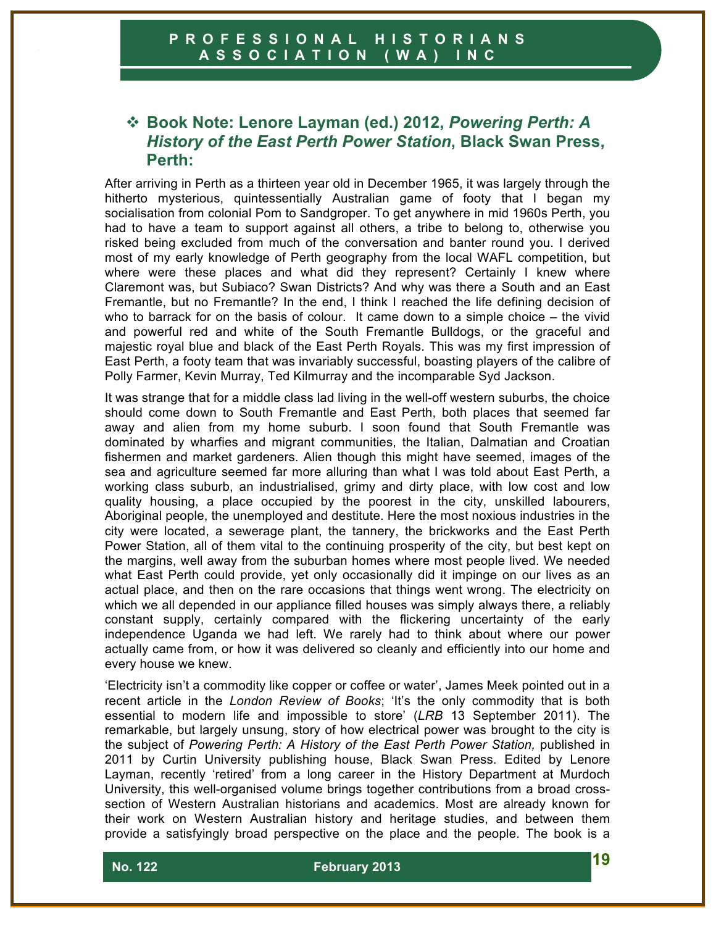# ! **Book Note: Lenore Layman (ed.) 2012,** *Powering Perth: A History of the East Perth Power Station***, Black Swan Press, Perth:**

After arriving in Perth as a thirteen year old in December 1965, it was largely through the hitherto mysterious, quintessentially Australian game of footy that I began my socialisation from colonial Pom to Sandgroper. To get anywhere in mid 1960s Perth, you had to have a team to support against all others, a tribe to belong to, otherwise you risked being excluded from much of the conversation and banter round you. I derived most of my early knowledge of Perth geography from the local WAFL competition, but where were these places and what did they represent? Certainly I knew where Claremont was, but Subiaco? Swan Districts? And why was there a South and an East Fremantle, but no Fremantle? In the end, I think I reached the life defining decision of who to barrack for on the basis of colour. It came down to a simple choice – the vivid and powerful red and white of the South Fremantle Bulldogs, or the graceful and majestic royal blue and black of the East Perth Royals. This was my first impression of East Perth, a footy team that was invariably successful, boasting players of the calibre of Polly Farmer, Kevin Murray, Ted Kilmurray and the incomparable Syd Jackson.

It was strange that for a middle class lad living in the well-off western suburbs, the choice should come down to South Fremantle and East Perth, both places that seemed far away and alien from my home suburb. I soon found that South Fremantle was dominated by wharfies and migrant communities, the Italian, Dalmatian and Croatian fishermen and market gardeners. Alien though this might have seemed, images of the sea and agriculture seemed far more alluring than what I was told about East Perth, a working class suburb, an industrialised, grimy and dirty place, with low cost and low quality housing, a place occupied by the poorest in the city, unskilled labourers, Aboriginal people, the unemployed and destitute. Here the most noxious industries in the city were located, a sewerage plant, the tannery, the brickworks and the East Perth Power Station, all of them vital to the continuing prosperity of the city, but best kept on the margins, well away from the suburban homes where most people lived. We needed what East Perth could provide, yet only occasionally did it impinge on our lives as an actual place, and then on the rare occasions that things went wrong. The electricity on which we all depended in our appliance filled houses was simply always there, a reliably constant supply, certainly compared with the flickering uncertainty of the early independence Uganda we had left. We rarely had to think about where our power actually came from, or how it was delivered so cleanly and efficiently into our home and every house we knew.

'Electricity isn't a commodity like copper or coffee or water', James Meek pointed out in a recent article in the *London Review of Books*; 'It's the only commodity that is both essential to modern life and impossible to store' (*LRB* 13 September 2011). The remarkable, but largely unsung, story of how electrical power was brought to the city is the subject of *Powering Perth: A History of the East Perth Power Station*, published in 2011 by Curtin University publishing house, Black Swan Press. Edited by Lenore Layman, recently 'retired' from a long career in the History Department at Murdoch University, this well-organised volume brings together contributions from a broad crosssection of Western Australian historians and academics. Most are already known for their work on Western Australian history and heritage studies, and between them provide a satisfyingly broad perspective on the place and the people. The book is a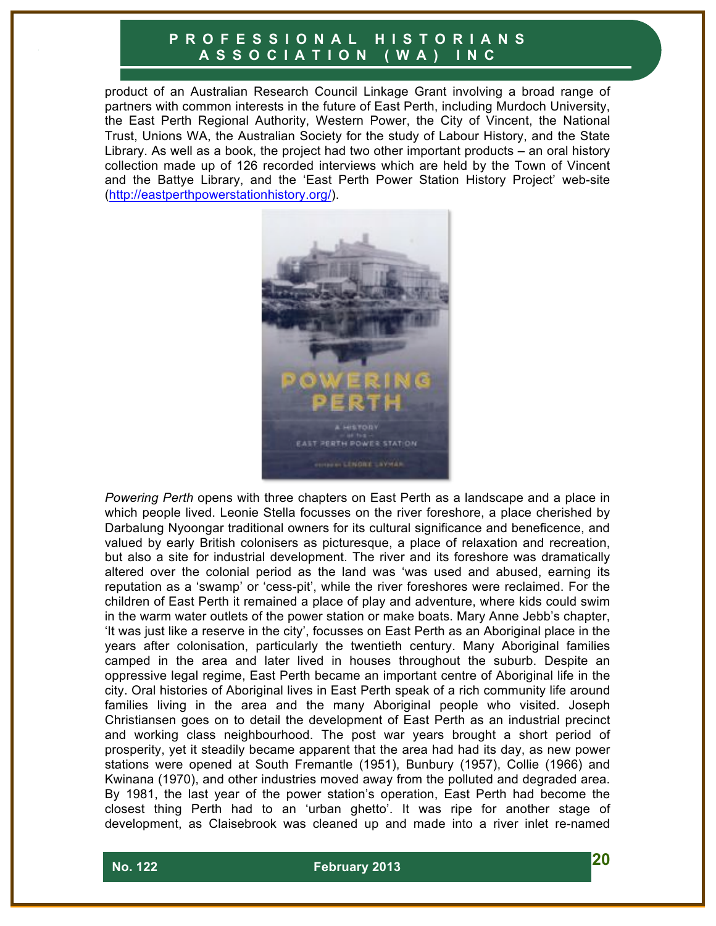product of an Australian Research Council Linkage Grant involving a broad range of partners with common interests in the future of East Perth, including Murdoch University, the East Perth Regional Authority, Western Power, the City of Vincent, the National Trust, Unions WA, the Australian Society for the study of Labour History, and the State Library. As well as a book, the project had two other important products – an oral history collection made up of 126 recorded interviews which are held by the Town of Vincent and the Battye Library, and the 'East Perth Power Station History Project' web-site (http://eastperthpowerstationhistory.org/).



*Powering Perth* opens with three chapters on East Perth as a landscape and a place in which people lived. Leonie Stella focusses on the river foreshore, a place cherished by Darbalung Nyoongar traditional owners for its cultural significance and beneficence, and valued by early British colonisers as picturesque, a place of relaxation and recreation, but also a site for industrial development. The river and its foreshore was dramatically altered over the colonial period as the land was 'was used and abused, earning its reputation as a 'swamp' or 'cess-pit', while the river foreshores were reclaimed. For the children of East Perth it remained a place of play and adventure, where kids could swim in the warm water outlets of the power station or make boats. Mary Anne Jebb's chapter, 'It was just like a reserve in the city', focusses on East Perth as an Aboriginal place in the years after colonisation, particularly the twentieth century. Many Aboriginal families camped in the area and later lived in houses throughout the suburb. Despite an oppressive legal regime, East Perth became an important centre of Aboriginal life in the city. Oral histories of Aboriginal lives in East Perth speak of a rich community life around families living in the area and the many Aboriginal people who visited. Joseph Christiansen goes on to detail the development of East Perth as an industrial precinct and working class neighbourhood. The post war years brought a short period of prosperity, yet it steadily became apparent that the area had had its day, as new power stations were opened at South Fremantle (1951), Bunbury (1957), Collie (1966) and Kwinana (1970), and other industries moved away from the polluted and degraded area. By 1981, the last year of the power station's operation, East Perth had become the closest thing Perth had to an 'urban ghetto'. It was ripe for another stage of development, as Claisebrook was cleaned up and made into a river inlet re-named

 **No. 122 February 2013 20**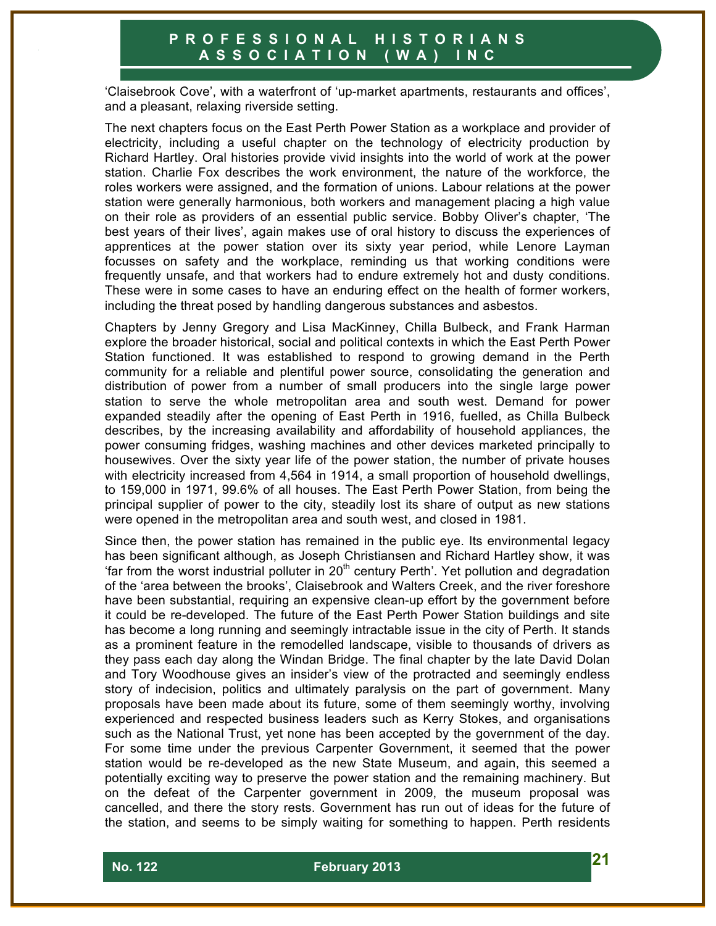'Claisebrook Cove', with a waterfront of 'up-market apartments, restaurants and offices', and a pleasant, relaxing riverside setting.

The next chapters focus on the East Perth Power Station as a workplace and provider of electricity, including a useful chapter on the technology of electricity production by Richard Hartley. Oral histories provide vivid insights into the world of work at the power station. Charlie Fox describes the work environment, the nature of the workforce, the roles workers were assigned, and the formation of unions. Labour relations at the power station were generally harmonious, both workers and management placing a high value on their role as providers of an essential public service. Bobby Oliver's chapter, 'The best years of their lives', again makes use of oral history to discuss the experiences of apprentices at the power station over its sixty year period, while Lenore Layman focusses on safety and the workplace, reminding us that working conditions were frequently unsafe, and that workers had to endure extremely hot and dusty conditions. These were in some cases to have an enduring effect on the health of former workers, including the threat posed by handling dangerous substances and asbestos.

Chapters by Jenny Gregory and Lisa MacKinney, Chilla Bulbeck, and Frank Harman explore the broader historical, social and political contexts in which the East Perth Power Station functioned. It was established to respond to growing demand in the Perth community for a reliable and plentiful power source, consolidating the generation and distribution of power from a number of small producers into the single large power station to serve the whole metropolitan area and south west. Demand for power expanded steadily after the opening of East Perth in 1916, fuelled, as Chilla Bulbeck describes, by the increasing availability and affordability of household appliances, the power consuming fridges, washing machines and other devices marketed principally to housewives. Over the sixty year life of the power station, the number of private houses with electricity increased from 4,564 in 1914, a small proportion of household dwellings, to 159,000 in 1971, 99.6% of all houses. The East Perth Power Station, from being the principal supplier of power to the city, steadily lost its share of output as new stations were opened in the metropolitan area and south west, and closed in 1981.

Since then, the power station has remained in the public eye. Its environmental legacy has been significant although, as Joseph Christiansen and Richard Hartley show, it was 'far from the worst industrial polluter in  $20<sup>th</sup>$  century Perth'. Yet pollution and degradation of the 'area between the brooks', Claisebrook and Walters Creek, and the river foreshore have been substantial, requiring an expensive clean-up effort by the government before it could be re-developed. The future of the East Perth Power Station buildings and site has become a long running and seemingly intractable issue in the city of Perth. It stands as a prominent feature in the remodelled landscape, visible to thousands of drivers as they pass each day along the Windan Bridge. The final chapter by the late David Dolan and Tory Woodhouse gives an insider's view of the protracted and seemingly endless story of indecision, politics and ultimately paralysis on the part of government. Many proposals have been made about its future, some of them seemingly worthy, involving experienced and respected business leaders such as Kerry Stokes, and organisations such as the National Trust, yet none has been accepted by the government of the day. For some time under the previous Carpenter Government, it seemed that the power station would be re-developed as the new State Museum, and again, this seemed a potentially exciting way to preserve the power station and the remaining machinery. But on the defeat of the Carpenter government in 2009, the museum proposal was cancelled, and there the story rests. Government has run out of ideas for the future of the station, and seems to be simply waiting for something to happen. Perth residents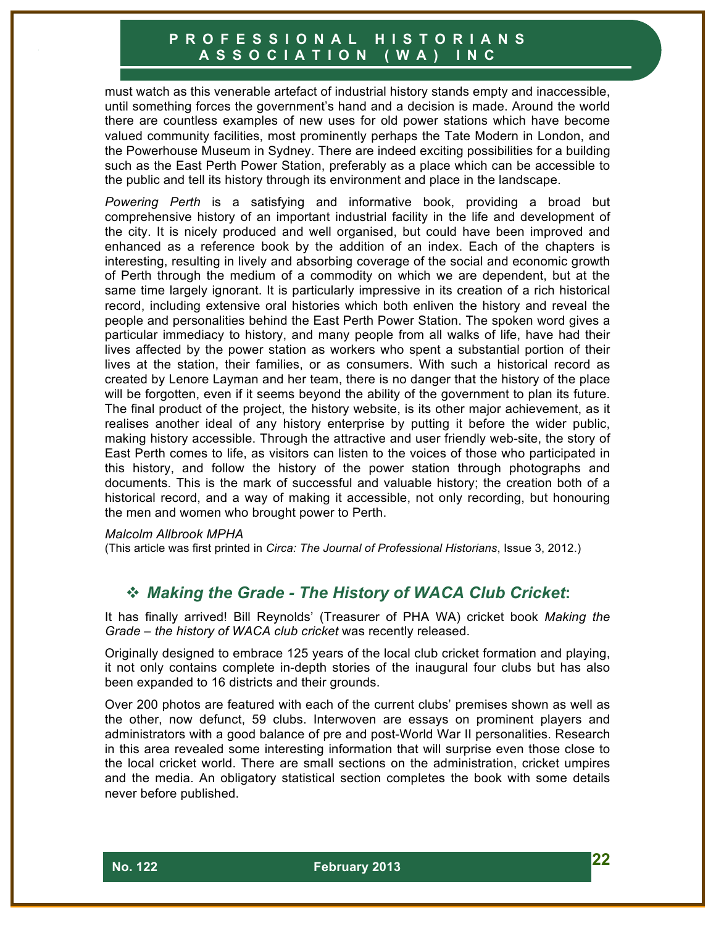must watch as this venerable artefact of industrial history stands empty and inaccessible, until something forces the government's hand and a decision is made. Around the world there are countless examples of new uses for old power stations which have become valued community facilities, most prominently perhaps the Tate Modern in London, and the Powerhouse Museum in Sydney. There are indeed exciting possibilities for a building such as the East Perth Power Station, preferably as a place which can be accessible to the public and tell its history through its environment and place in the landscape.

*Powering Perth* is a satisfying and informative book, providing a broad but comprehensive history of an important industrial facility in the life and development of the city. It is nicely produced and well organised, but could have been improved and enhanced as a reference book by the addition of an index. Each of the chapters is interesting, resulting in lively and absorbing coverage of the social and economic growth of Perth through the medium of a commodity on which we are dependent, but at the same time largely ignorant. It is particularly impressive in its creation of a rich historical record, including extensive oral histories which both enliven the history and reveal the people and personalities behind the East Perth Power Station. The spoken word gives a particular immediacy to history, and many people from all walks of life, have had their lives affected by the power station as workers who spent a substantial portion of their lives at the station, their families, or as consumers. With such a historical record as created by Lenore Layman and her team, there is no danger that the history of the place will be forgotten, even if it seems beyond the ability of the government to plan its future. The final product of the project, the history website, is its other major achievement, as it realises another ideal of any history enterprise by putting it before the wider public, making history accessible. Through the attractive and user friendly web-site, the story of East Perth comes to life, as visitors can listen to the voices of those who participated in this history, and follow the history of the power station through photographs and documents. This is the mark of successful and valuable history; the creation both of a historical record, and a way of making it accessible, not only recording, but honouring the men and women who brought power to Perth.

#### *Malcolm Allbrook MPHA*

(This article was first printed in *Circa: The Journal of Professional Historians*, Issue 3, 2012.)

# ! *Making the Grade - The History of WACA Club Cricket***:**

It has finally arrived! Bill Reynolds' (Treasurer of PHA WA) cricket book *Making the Grade – the history of WACA club cricket* was recently released.

Originally designed to embrace 125 years of the local club cricket formation and playing, it not only contains complete in-depth stories of the inaugural four clubs but has also been expanded to 16 districts and their grounds.

Over 200 photos are featured with each of the current clubs' premises shown as well as the other, now defunct, 59 clubs. Interwoven are essays on prominent players and administrators with a good balance of pre and post-World War II personalities. Research in this area revealed some interesting information that will surprise even those close to the local cricket world. There are small sections on the administration, cricket umpires and the media. An obligatory statistical section completes the book with some details never before published.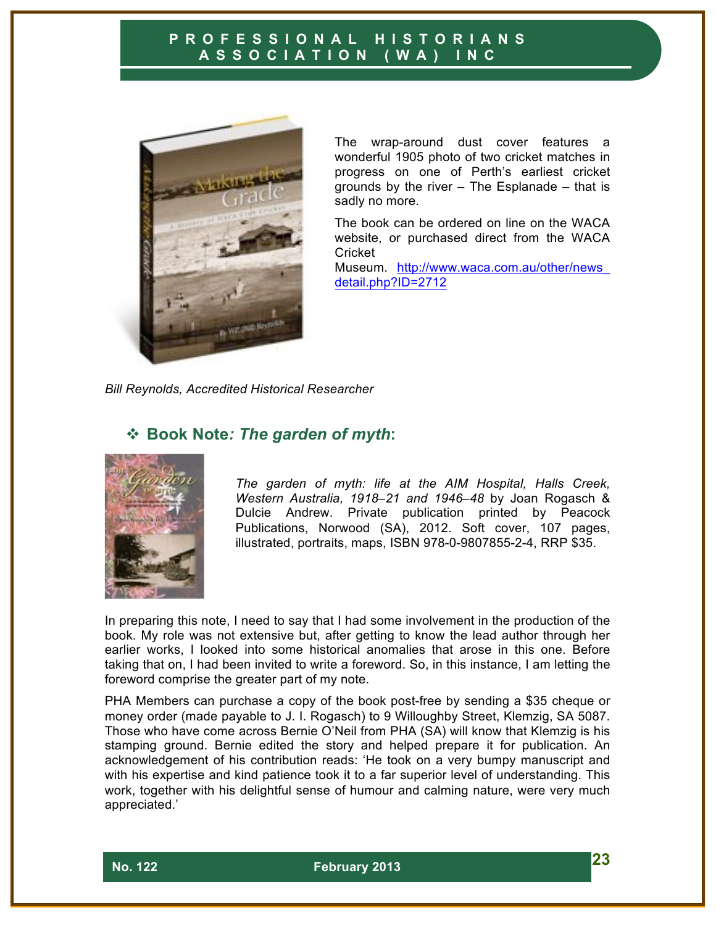

The wrap-around dust cover features a wonderful 1905 photo of two cricket matches in progress on one of Perth's earliest cricket grounds by the river – The Esplanade – that is sadly no more.

The book can be ordered on line on the WACA website, or purchased direct from the WACA **Cricket** 

Museum. http://www.waca.com.au/other/news\_ detail.php?ID=2712

*Bill Reynolds, Accredited Historical Researcher*

# ! **Book Note***: The garden of myth***:**



*The garden of myth: life at the AIM Hospital, Halls Creek, Western Australia, 1918–21 and 1946–48* by Joan Rogasch & Dulcie Andrew. Private publication printed by Peacock Publications, Norwood (SA), 2012. Soft cover, 107 pages, illustrated, portraits, maps, ISBN 978-0-9807855-2-4, RRP \$35.

In preparing this note, I need to say that I had some involvement in the production of the book. My role was not extensive but, after getting to know the lead author through her earlier works, I looked into some historical anomalies that arose in this one. Before taking that on, I had been invited to write a foreword. So, in this instance, I am letting the foreword comprise the greater part of my note.

PHA Members can purchase a copy of the book post-free by sending a \$35 cheque or money order (made payable to J. I. Rogasch) to 9 Willoughby Street, Klemzig, SA 5087. Those who have come across Bernie O'Neil from PHA (SA) will know that Klemzig is his stamping ground. Bernie edited the story and helped prepare it for publication. An acknowledgement of his contribution reads: 'He took on a very bumpy manuscript and with his expertise and kind patience took it to a far superior level of understanding. This work, together with his delightful sense of humour and calming nature, were very much appreciated.'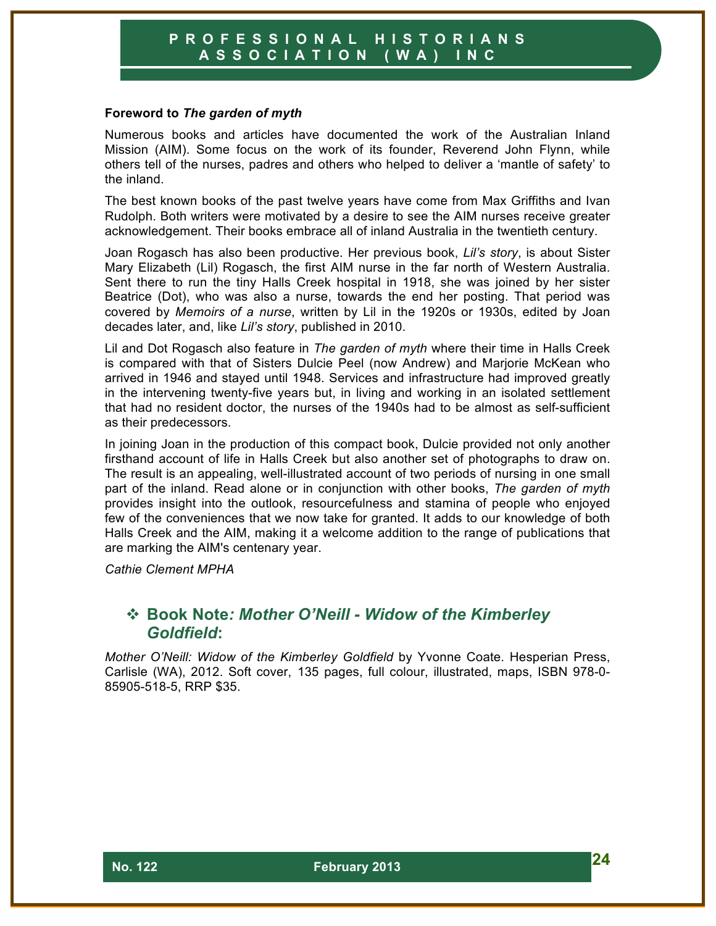#### **Foreword to** *The garden of myth*

Numerous books and articles have documented the work of the Australian Inland Mission (AIM). Some focus on the work of its founder, Reverend John Flynn, while others tell of the nurses, padres and others who helped to deliver a 'mantle of safety' to the inland.

The best known books of the past twelve years have come from Max Griffiths and Ivan Rudolph. Both writers were motivated by a desire to see the AIM nurses receive greater acknowledgement. Their books embrace all of inland Australia in the twentieth century.

Joan Rogasch has also been productive. Her previous book, *Lil's story*, is about Sister Mary Elizabeth (Lil) Rogasch, the first AIM nurse in the far north of Western Australia. Sent there to run the tiny Halls Creek hospital in 1918, she was joined by her sister Beatrice (Dot), who was also a nurse, towards the end her posting. That period was covered by *Memoirs of a nurse*, written by Lil in the 1920s or 1930s, edited by Joan decades later, and, like *Lil's story*, published in 2010.

Lil and Dot Rogasch also feature in *The garden of myth* where their time in Halls Creek is compared with that of Sisters Dulcie Peel (now Andrew) and Marjorie McKean who arrived in 1946 and stayed until 1948. Services and infrastructure had improved greatly in the intervening twenty-five years but, in living and working in an isolated settlement that had no resident doctor, the nurses of the 1940s had to be almost as self-sufficient as their predecessors.

In joining Joan in the production of this compact book, Dulcie provided not only another firsthand account of life in Halls Creek but also another set of photographs to draw on. The result is an appealing, well-illustrated account of two periods of nursing in one small part of the inland. Read alone or in conjunction with other books, *The garden of myth* provides insight into the outlook, resourcefulness and stamina of people who enjoyed few of the conveniences that we now take for granted. It adds to our knowledge of both Halls Creek and the AIM, making it a welcome addition to the range of publications that are marking the AIM's centenary year.

*Cathie Clement MPHA*

# ! **Book Note***: Mother O'Neill - Widow of the Kimberley Goldfield***:**

*Mother O'Neill: Widow of the Kimberley Goldfield* by Yvonne Coate. Hesperian Press, Carlisle (WA), 2012. Soft cover, 135 pages, full colour, illustrated, maps, ISBN 978-0- 85905-518-5, RRP \$35.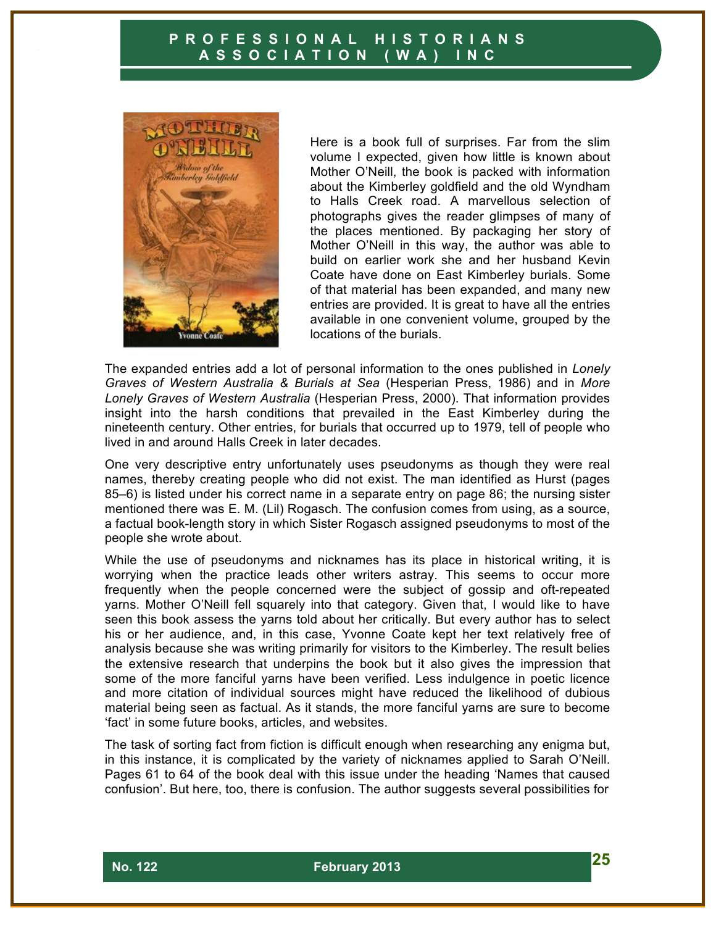

Here is a book full of surprises. Far from the slim volume I expected, given how little is known about Mother O'Neill, the book is packed with information about the Kimberley goldfield and the old Wyndham to Halls Creek road. A marvellous selection of photographs gives the reader glimpses of many of the places mentioned. By packaging her story of Mother O'Neill in this way, the author was able to build on earlier work she and her husband Kevin Coate have done on East Kimberley burials. Some of that material has been expanded, and many new entries are provided. It is great to have all the entries available in one convenient volume, grouped by the locations of the burials.

The expanded entries add a lot of personal information to the ones published in *Lonely Graves of Western Australia & Burials at Sea* (Hesperian Press, 1986) and in *More Lonely Graves of Western Australia* (Hesperian Press, 2000). That information provides insight into the harsh conditions that prevailed in the East Kimberley during the nineteenth century. Other entries, for burials that occurred up to 1979, tell of people who lived in and around Halls Creek in later decades.

One very descriptive entry unfortunately uses pseudonyms as though they were real names, thereby creating people who did not exist. The man identified as Hurst (pages 85–6) is listed under his correct name in a separate entry on page 86; the nursing sister mentioned there was E. M. (Lil) Rogasch. The confusion comes from using, as a source, a factual book-length story in which Sister Rogasch assigned pseudonyms to most of the people she wrote about.

While the use of pseudonyms and nicknames has its place in historical writing, it is worrying when the practice leads other writers astray. This seems to occur more frequently when the people concerned were the subject of gossip and oft-repeated yarns. Mother O'Neill fell squarely into that category. Given that, I would like to have seen this book assess the yarns told about her critically. But every author has to select his or her audience, and, in this case, Yvonne Coate kept her text relatively free of analysis because she was writing primarily for visitors to the Kimberley. The result belies the extensive research that underpins the book but it also gives the impression that some of the more fanciful yarns have been verified. Less indulgence in poetic licence and more citation of individual sources might have reduced the likelihood of dubious material being seen as factual. As it stands, the more fanciful yarns are sure to become 'fact' in some future books, articles, and websites.

The task of sorting fact from fiction is difficult enough when researching any enigma but, in this instance, it is complicated by the variety of nicknames applied to Sarah O'Neill. Pages 61 to 64 of the book deal with this issue under the heading 'Names that caused confusion'. But here, too, there is confusion. The author suggests several possibilities for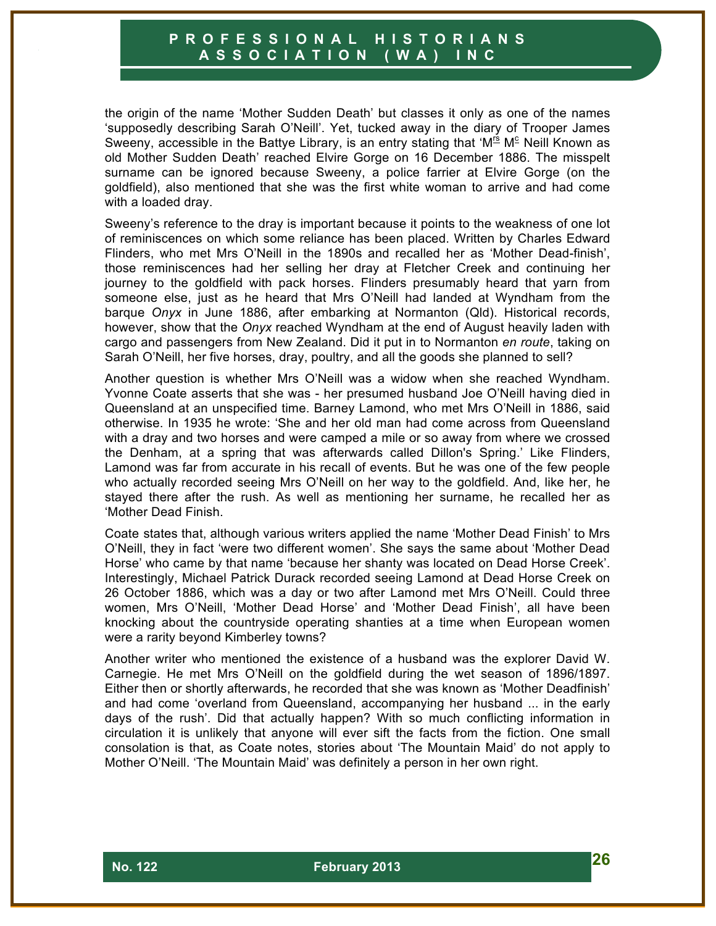the origin of the name 'Mother Sudden Death' but classes it only as one of the names 'supposedly describing Sarah O'Neill'. Yet, tucked away in the diary of Trooper James Sweeny, accessible in the Battye Library, is an entry stating that ' $M^{\text{fs}}$  M<sup>c</sup> Neill Known as old Mother Sudden Death' reached Elvire Gorge on 16 December 1886. The misspelt surname can be ignored because Sweeny, a police farrier at Elvire Gorge (on the goldfield), also mentioned that she was the first white woman to arrive and had come with a loaded dray.

Sweeny's reference to the dray is important because it points to the weakness of one lot of reminiscences on which some reliance has been placed. Written by Charles Edward Flinders, who met Mrs O'Neill in the 1890s and recalled her as 'Mother Dead-finish', those reminiscences had her selling her dray at Fletcher Creek and continuing her journey to the goldfield with pack horses. Flinders presumably heard that yarn from someone else, just as he heard that Mrs O'Neill had landed at Wyndham from the barque *Onyx* in June 1886, after embarking at Normanton (Qld). Historical records, however, show that the *Onyx* reached Wyndham at the end of August heavily laden with cargo and passengers from New Zealand. Did it put in to Normanton *en route*, taking on Sarah O'Neill, her five horses, dray, poultry, and all the goods she planned to sell?

Another question is whether Mrs O'Neill was a widow when she reached Wyndham. Yvonne Coate asserts that she was - her presumed husband Joe O'Neill having died in Queensland at an unspecified time. Barney Lamond, who met Mrs O'Neill in 1886, said otherwise. In 1935 he wrote: 'She and her old man had come across from Queensland with a dray and two horses and were camped a mile or so away from where we crossed the Denham, at a spring that was afterwards called Dillon's Spring.' Like Flinders, Lamond was far from accurate in his recall of events. But he was one of the few people who actually recorded seeing Mrs O'Neill on her way to the goldfield. And, like her, he stayed there after the rush. As well as mentioning her surname, he recalled her as 'Mother Dead Finish.

Coate states that, although various writers applied the name 'Mother Dead Finish' to Mrs O'Neill, they in fact 'were two different women'. She says the same about 'Mother Dead Horse' who came by that name 'because her shanty was located on Dead Horse Creek'. Interestingly, Michael Patrick Durack recorded seeing Lamond at Dead Horse Creek on 26 October 1886, which was a day or two after Lamond met Mrs O'Neill. Could three women, Mrs O'Neill, 'Mother Dead Horse' and 'Mother Dead Finish', all have been knocking about the countryside operating shanties at a time when European women were a rarity beyond Kimberley towns?

Another writer who mentioned the existence of a husband was the explorer David W. Carnegie. He met Mrs O'Neill on the goldfield during the wet season of 1896/1897. Either then or shortly afterwards, he recorded that she was known as 'Mother Deadfinish' and had come 'overland from Queensland, accompanying her husband ... in the early days of the rush'. Did that actually happen? With so much conflicting information in circulation it is unlikely that anyone will ever sift the facts from the fiction. One small consolation is that, as Coate notes, stories about 'The Mountain Maid' do not apply to Mother O'Neill. 'The Mountain Maid' was definitely a person in her own right.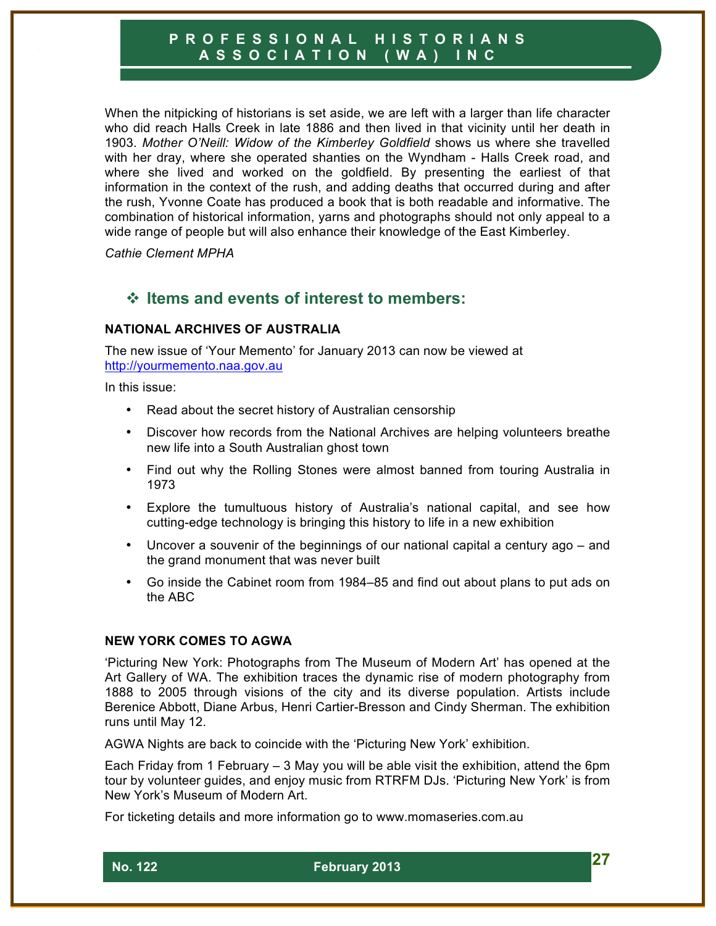When the nitpicking of historians is set aside, we are left with a larger than life character who did reach Halls Creek in late 1886 and then lived in that vicinity until her death in 1903. *Mother O'Neill: Widow of the Kimberley Goldfield* shows us where she travelled with her dray, where she operated shanties on the Wyndham - Halls Creek road, and where she lived and worked on the goldfield. By presenting the earliest of that information in the context of the rush, and adding deaths that occurred during and after the rush, Yvonne Coate has produced a book that is both readable and informative. The combination of historical information, yarns and photographs should not only appeal to a wide range of people but will also enhance their knowledge of the East Kimberley.

*Cathie Clement MPHA*

# ! **Items and events of interest to members:**

#### **NATIONAL ARCHIVES OF AUSTRALIA**

The new issue of 'Your Memento' for January 2013 can now be viewed at http://yourmemento.naa.gov.au

In this issue:

- Read about the secret history of Australian censorship
- Discover how records from the National Archives are helping volunteers breathe new life into a South Australian ghost town
- Find out why the Rolling Stones were almost banned from touring Australia in 1973
- Explore the tumultuous history of Australia's national capital, and see how cutting-edge technology is bringing this history to life in a new exhibition
- Uncover a souvenir of the beginnings of our national capital a century ago and the grand monument that was never built
- Go inside the Cabinet room from 1984–85 and find out about plans to put ads on the ABC

#### **NEW YORK COMES TO AGWA**

'Picturing New York: Photographs from The Museum of Modern Art' has opened at the Art Gallery of WA. The exhibition traces the dynamic rise of modern photography from 1888 to 2005 through visions of the city and its diverse population. Artists include Berenice Abbott, Diane Arbus, Henri Cartier-Bresson and Cindy Sherman. The exhibition runs until May 12.

AGWA Nights are back to coincide with the 'Picturing New York' exhibition.

Each Friday from 1 February – 3 May you will be able visit the exhibition, attend the 6pm tour by volunteer guides, and enjoy music from RTRFM DJs. 'Picturing New York' is from New York's Museum of Modern Art.

For ticketing details and more information go to www.momaseries.com.au

 **No. 122 February 2013 27**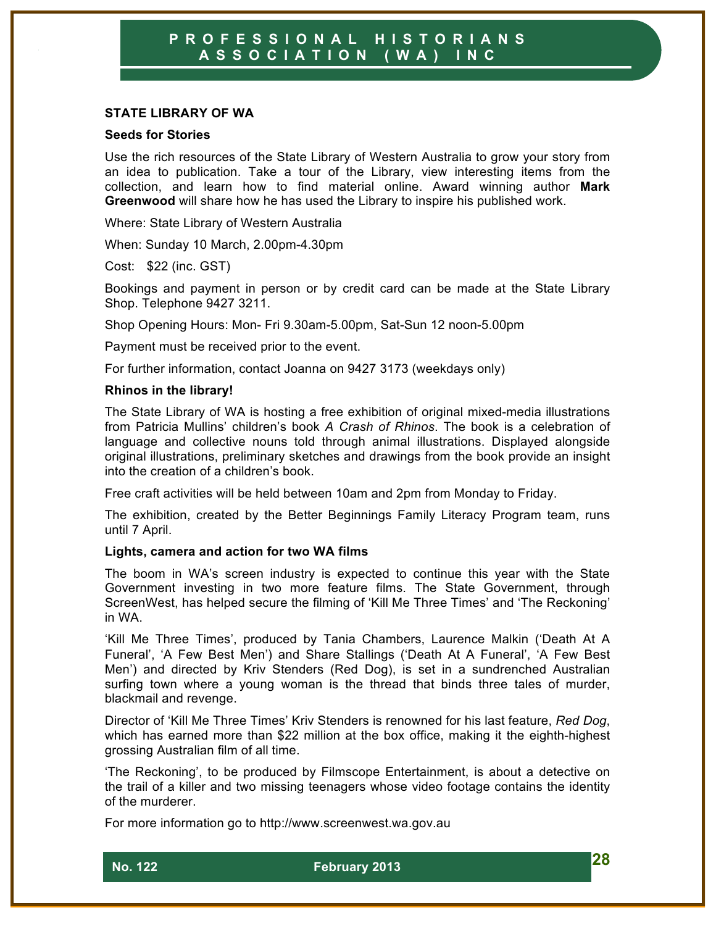#### **STATE LIBRARY OF WA**

#### **Seeds for Stories**

Use the rich resources of the State Library of Western Australia to grow your story from an idea to publication. Take a tour of the Library, view interesting items from the collection, and learn how to find material online. Award winning author **Mark Greenwood** will share how he has used the Library to inspire his published work.

Where: State Library of Western Australia

When: Sunday 10 March, 2.00pm-4.30pm

Cost: \$22 (inc. GST)

Bookings and payment in person or by credit card can be made at the State Library Shop. Telephone 9427 3211.

Shop Opening Hours: Mon- Fri 9.30am-5.00pm, Sat-Sun 12 noon-5.00pm

Payment must be received prior to the event.

For further information, contact Joanna on 9427 3173 (weekdays only)

#### **Rhinos in the library!**

The State Library of WA is hosting a free exhibition of original mixed-media illustrations from Patricia Mullins' children's book *A Crash of Rhinos*. The book is a celebration of language and collective nouns told through animal illustrations. Displayed alongside original illustrations, preliminary sketches and drawings from the book provide an insight into the creation of a children's book.

Free craft activities will be held between 10am and 2pm from Monday to Friday.

The exhibition, created by the Better Beginnings Family Literacy Program team, runs until 7 April.

#### **Lights, camera and action for two WA films**

The boom in WA's screen industry is expected to continue this year with the State Government investing in two more feature films. The State Government, through ScreenWest, has helped secure the filming of 'Kill Me Three Times' and 'The Reckoning' in WA.

'Kill Me Three Times', produced by Tania Chambers, Laurence Malkin ('Death At A Funeral', 'A Few Best Men') and Share Stallings ('Death At A Funeral', 'A Few Best Men') and directed by Kriv Stenders (Red Dog), is set in a sundrenched Australian surfing town where a young woman is the thread that binds three tales of murder, blackmail and revenge.

Director of 'Kill Me Three Times' Kriv Stenders is renowned for his last feature, *Red Dog*, which has earned more than \$22 million at the box office, making it the eighth-highest grossing Australian film of all time.

'The Reckoning', to be produced by Filmscope Entertainment, is about a detective on the trail of a killer and two missing teenagers whose video footage contains the identity of the murderer.

For more information go to http://www.screenwest.wa.gov.au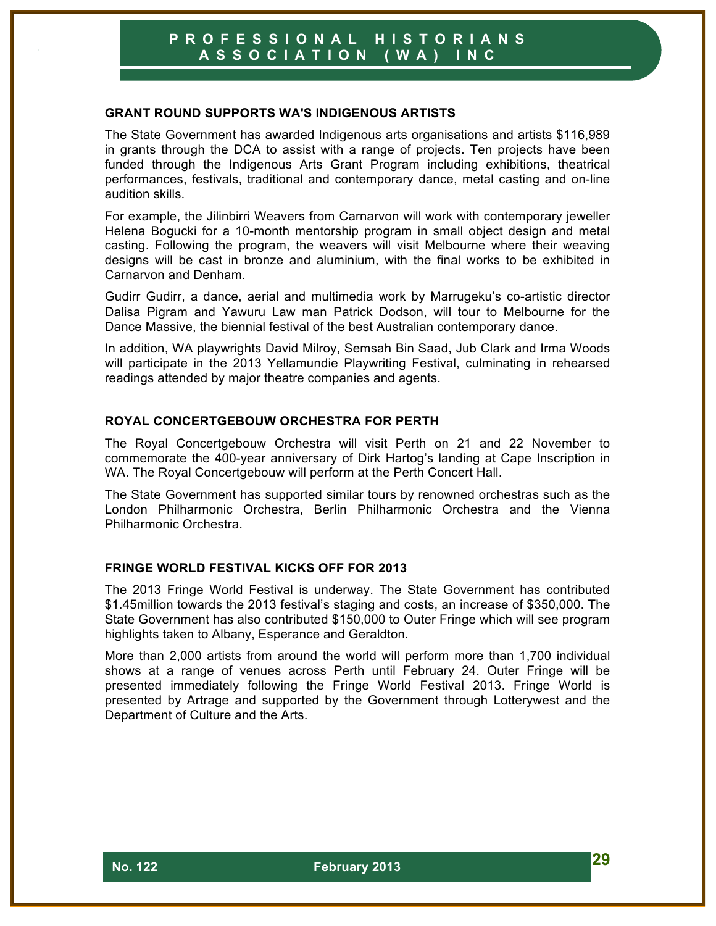#### **GRANT ROUND SUPPORTS WA'S INDIGENOUS ARTISTS**

The State Government has awarded Indigenous arts organisations and artists \$116,989 in grants through the DCA to assist with a range of projects. Ten projects have been funded through the Indigenous Arts Grant Program including exhibitions, theatrical performances, festivals, traditional and contemporary dance, metal casting and on-line audition skills.

For example, the Jilinbirri Weavers from Carnarvon will work with contemporary jeweller Helena Bogucki for a 10-month mentorship program in small object design and metal casting. Following the program, the weavers will visit Melbourne where their weaving designs will be cast in bronze and aluminium, with the final works to be exhibited in Carnarvon and Denham.

Gudirr Gudirr, a dance, aerial and multimedia work by Marrugeku's co-artistic director Dalisa Pigram and Yawuru Law man Patrick Dodson, will tour to Melbourne for the Dance Massive, the biennial festival of the best Australian contemporary dance.

In addition, WA playwrights David Milroy, Semsah Bin Saad, Jub Clark and Irma Woods will participate in the 2013 Yellamundie Playwriting Festival, culminating in rehearsed readings attended by major theatre companies and agents.

#### **ROYAL CONCERTGEBOUW ORCHESTRA FOR PERTH**

The Royal Concertgebouw Orchestra will visit Perth on 21 and 22 November to commemorate the 400-year anniversary of Dirk Hartog's landing at Cape Inscription in WA. The Royal Concertgebouw will perform at the Perth Concert Hall.

The State Government has supported similar tours by renowned orchestras such as the London Philharmonic Orchestra, Berlin Philharmonic Orchestra and the Vienna Philharmonic Orchestra.

#### **FRINGE WORLD FESTIVAL KICKS OFF FOR 2013**

The 2013 Fringe World Festival is underway. The State Government has contributed \$1.45million towards the 2013 festival's staging and costs, an increase of \$350,000. The State Government has also contributed \$150,000 to Outer Fringe which will see program highlights taken to Albany, Esperance and Geraldton.

More than 2,000 artists from around the world will perform more than 1,700 individual shows at a range of venues across Perth until February 24. Outer Fringe will be presented immediately following the Fringe World Festival 2013. Fringe World is presented by Artrage and supported by the Government through Lotterywest and the Department of Culture and the Arts.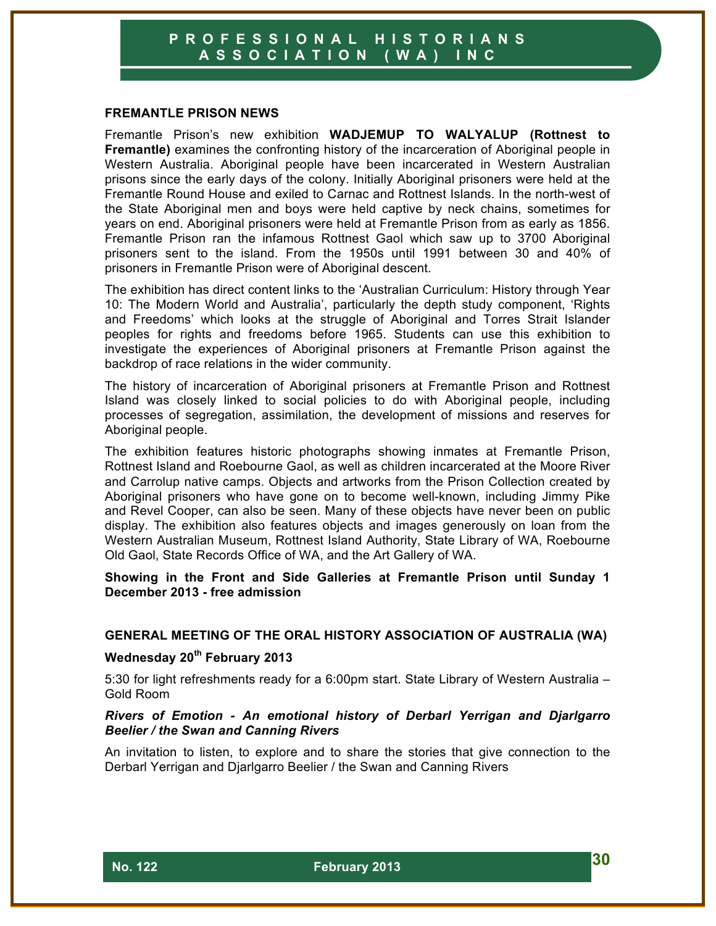#### **FREMANTLE PRISON NEWS**

Fremantle Prison's new exhibition **WADJEMUP TO WALYALUP (Rottnest to Fremantle)** examines the confronting history of the incarceration of Aboriginal people in Western Australia. Aboriginal people have been incarcerated in Western Australian prisons since the early days of the colony. Initially Aboriginal prisoners were held at the Fremantle Round House and exiled to Carnac and Rottnest Islands. In the north-west of the State Aboriginal men and boys were held captive by neck chains, sometimes for years on end. Aboriginal prisoners were held at Fremantle Prison from as early as 1856. Fremantle Prison ran the infamous Rottnest Gaol which saw up to 3700 Aboriginal prisoners sent to the island. From the 1950s until 1991 between 30 and 40% of prisoners in Fremantle Prison were of Aboriginal descent.

The exhibition has direct content links to the 'Australian Curriculum: History through Year 10: The Modern World and Australia', particularly the depth study component, 'Rights and Freedoms' which looks at the struggle of Aboriginal and Torres Strait Islander peoples for rights and freedoms before 1965. Students can use this exhibition to investigate the experiences of Aboriginal prisoners at Fremantle Prison against the backdrop of race relations in the wider community.

The history of incarceration of Aboriginal prisoners at Fremantle Prison and Rottnest Island was closely linked to social policies to do with Aboriginal people, including processes of segregation, assimilation, the development of missions and reserves for Aboriginal people.

The exhibition features historic photographs showing inmates at Fremantle Prison, Rottnest Island and Roebourne Gaol, as well as children incarcerated at the Moore River and Carrolup native camps. Objects and artworks from the Prison Collection created by Aboriginal prisoners who have gone on to become well-known, including Jimmy Pike and Revel Cooper, can also be seen. Many of these objects have never been on public display. The exhibition also features objects and images generously on loan from the Western Australian Museum, Rottnest Island Authority, State Library of WA, Roebourne Old Gaol, State Records Office of WA, and the Art Gallery of WA.

**Showing in the Front and Side Galleries at Fremantle Prison until Sunday 1 December 2013 - free admission**

#### **GENERAL MEETING OF THE ORAL HISTORY ASSOCIATION OF AUSTRALIA (WA)**

#### **Wednesday 20th February 2013**

5:30 for light refreshments ready for a 6:00pm start. State Library of Western Australia – Gold Room

#### *Rivers of Emotion - An emotional history of Derbarl Yerrigan and Djarlgarro Beelier / the Swan and Canning Rivers*

An invitation to listen, to explore and to share the stories that give connection to the Derbarl Yerrigan and Djarlgarro Beelier / the Swan and Canning Rivers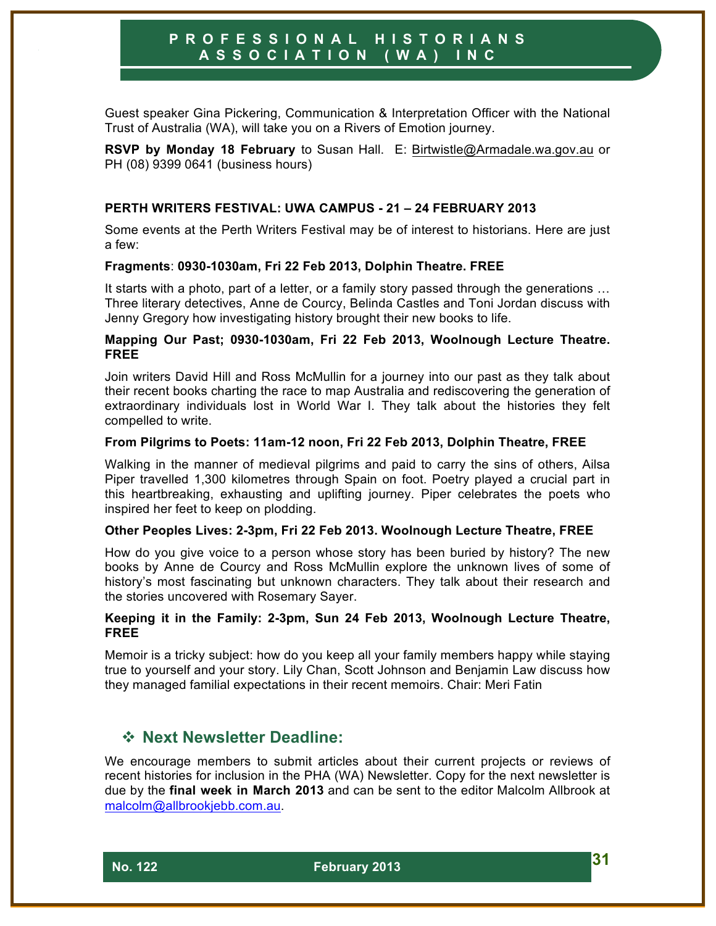Guest speaker Gina Pickering, Communication & Interpretation Officer with the National Trust of Australia (WA), will take you on a Rivers of Emotion journey.

**RSVP by Monday 18 February** to Susan Hall. E: Birtwistle@Armadale.wa.gov.au or PH (08) 9399 0641 (business hours)

#### **PERTH WRITERS FESTIVAL: UWA CAMPUS - 21 – 24 FEBRUARY 2013**

Some events at the Perth Writers Festival may be of interest to historians. Here are just a few:

#### **Fragments**: **0930-1030am, Fri 22 Feb 2013, Dolphin Theatre. FREE**

It starts with a photo, part of a letter, or a family story passed through the generations ... Three literary detectives, Anne de Courcy, Belinda Castles and Toni Jordan discuss with Jenny Gregory how investigating history brought their new books to life.

#### **Mapping Our Past; 0930-1030am, Fri 22 Feb 2013, Woolnough Lecture Theatre. FREE**

Join writers David Hill and Ross McMullin for a journey into our past as they talk about their recent books charting the race to map Australia and rediscovering the generation of extraordinary individuals lost in World War I. They talk about the histories they felt compelled to write.

#### **From Pilgrims to Poets: 11am-12 noon, Fri 22 Feb 2013, Dolphin Theatre, FREE**

Walking in the manner of medieval pilgrims and paid to carry the sins of others, Ailsa Piper travelled 1,300 kilometres through Spain on foot. Poetry played a crucial part in this heartbreaking, exhausting and uplifting journey. Piper celebrates the poets who inspired her feet to keep on plodding.

#### **Other Peoples Lives: 2-3pm, Fri 22 Feb 2013. Woolnough Lecture Theatre, FREE**

How do you give voice to a person whose story has been buried by history? The new books by Anne de Courcy and Ross McMullin explore the unknown lives of some of history's most fascinating but unknown characters. They talk about their research and the stories uncovered with Rosemary Sayer.

#### **Keeping it in the Family: 2-3pm, Sun 24 Feb 2013, Woolnough Lecture Theatre, FREE**

Memoir is a tricky subject: how do you keep all your family members happy while staying true to yourself and your story. Lily Chan, Scott Johnson and Benjamin Law discuss how they managed familial expectations in their recent memoirs. Chair: Meri Fatin

# ! **Next Newsletter Deadline:**

We encourage members to submit articles about their current projects or reviews of recent histories for inclusion in the PHA (WA) Newsletter. Copy for the next newsletter is due by the **final week in March 2013** and can be sent to the editor Malcolm Allbrook at malcolm@allbrookjebb.com.au.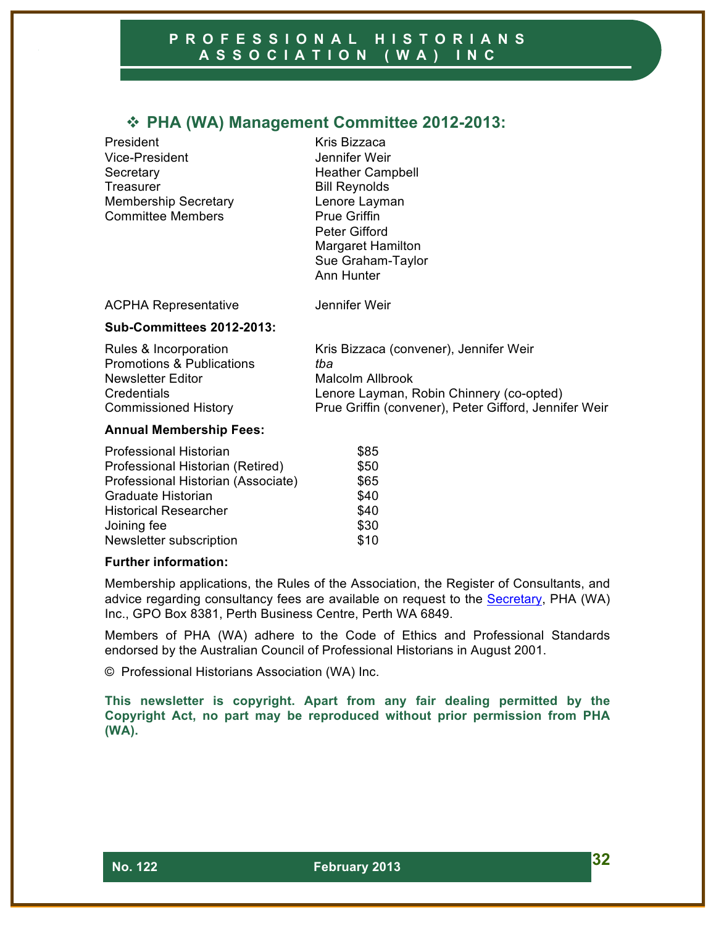# ! **PHA (WA) Management Committee 2012-2013:**

President Kris Bizzaca Vice-President Jennifer Weir Secretary **Heather Campbell** Treasurer **Bill Reynolds** Membership Secretary Lenore Layman Committee Members **Prue Griffin** 

Peter Gifford Margaret Hamilton Sue Graham-Taylor Ann Hunter

ACPHA Representative **Jennifer Weir** 

#### **Sub-Committees 2012-2013:**

| Rules & Incorporation                | Kris Bizzaca (convener), Jennifer Weir                |
|--------------------------------------|-------------------------------------------------------|
| <b>Promotions &amp; Publications</b> | tba                                                   |
| Newsletter Editor                    | Malcolm Allbrook                                      |
| <b>Credentials</b>                   | Lenore Layman, Robin Chinnery (co-opted)              |
| <b>Commissioned History</b>          | Prue Griffin (convener), Peter Gifford, Jennifer Weir |

#### **Annual Membership Fees:**

| <b>Professional Historian</b>      | \$85 |
|------------------------------------|------|
| Professional Historian (Retired)   | \$50 |
| Professional Historian (Associate) | \$65 |
| Graduate Historian                 | \$40 |
| <b>Historical Researcher</b>       | \$40 |
| Joining fee                        | \$30 |
| Newsletter subscription            | \$10 |

#### **Further information:**

Membership applications, the Rules of the Association, the Register of Consultants, and advice regarding consultancy fees are available on request to the Secretary, PHA (WA) Inc., GPO Box 8381, Perth Business Centre, Perth WA 6849.

Members of PHA (WA) adhere to the Code of Ethics and Professional Standards endorsed by the Australian Council of Professional Historians in August 2001.

© Professional Historians Association (WA) Inc.

**This newsletter is copyright. Apart from any fair dealing permitted by the Copyright Act, no part may be reproduced without prior permission from PHA (WA).**